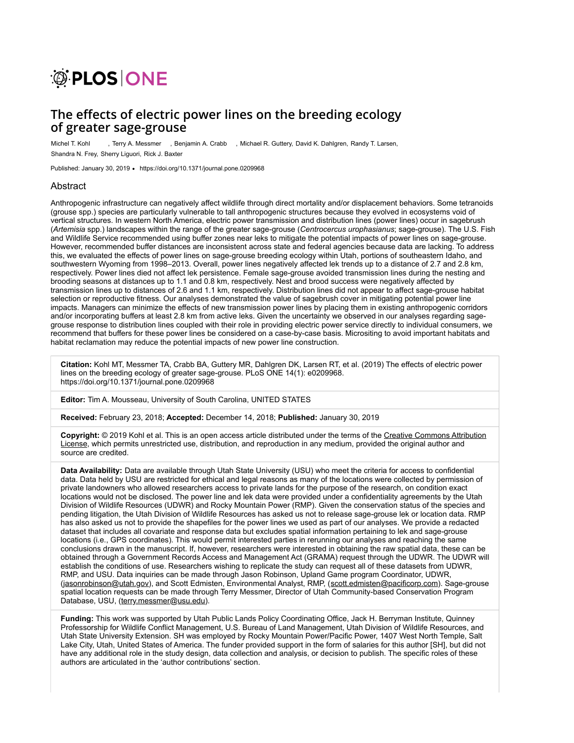# OPLOS ONE

## The effects of electric power lines on the breeding ecology **of greater sage-grouse**

Michel T. Kohl , Terry A. Messmer , Benjamin A. Crabb , Michael R. Guttery, David K. Dahlgren, Randy T. Larsen, Shandra N. Frey, Sherry Liguori, Rick J. Baxter

Published: January 30, 2019 · <https://doi.org/10.1371/journal.pone.0209968>

## Abstract

Anthropogenic infrastructure can negatively affect wildlife through direct mortality and/or displacement behaviors. Some tetranoids (grouse spp.) species are particularly vulnerable to tall anthropogenic structures because they evolved in ecosystems void of vertical structures. In western North America, electric power transmission and distribution lines (power lines) occur in sagebrush (*Artemisia* spp.) landscapes within the range of the greater sage-grouse (*Centrocercus urophasianus*; sage-grouse). The U.S. Fish and Wildlife Service recommended using buffer zones near leks to mitigate the potential impacts of power lines on sage-grouse. However, recommended buffer distances are inconsistent across state and federal agencies because data are lacking. To address this, we evaluated the effects of power lines on sage-grouse breeding ecology within Utah, portions of southeastern Idaho, and southwestern Wyoming from 1998–2013. Overall, power lines negatively affected lek trends up to a distance of 2.7 and 2.8 km, respectively. Power lines died not affect lek persistence. Female sage-grouse avoided transmission lines during the nesting and brooding seasons at distances up to 1.1 and 0.8 km, respectively. Nest and brood success were negatively affected by transmission lines up to distances of 2.6 and 1.1 km, respectively. Distribution lines did not appear to affect sage-grouse habitat selection or reproductive fitness. Our analyses demonstrated the value of sagebrush cover in mitigating potential power line impacts. Managers can minimize the effects of new transmission power lines by placing them in existing anthropogenic corridors and/or incorporating buffers at least 2.8 km from active leks. Given the uncertainty we observed in our analyses regarding sagegrouse response to distribution lines coupled with their role in providing electric power service directly to individual consumers, we recommend that buffers for these power lines be considered on a case-by-case basis. Micrositing to avoid important habitats and habitat reclamation may reduce the potential impacts of new power line construction.

**Citation:** Kohl MT, Messmer TA, Crabb BA, Guttery MR, Dahlgren DK, Larsen RT, et al. (2019) The effects of electric power lines on the breeding ecology of greater sage-grouse. PLoS ONE 14(1): e0209968. https://doi.org/10.1371/journal.pone.0209968

**Editor:** Tim A. Mousseau, University of South Carolina, UNITED STATES

**Received:** February 23, 2018; **Accepted:** December 14, 2018; **Published:** January 30, 2019

**Copyright:** © 2019 Kohl et al. This is an open access article distributed under the terms of the Creative Commons Attribution [License, which permits unrestricted use, distribution, and reproduction in any medium, provided the original author and](http://creativecommons.org/licenses/by/4.0/) source are credited.

**Data Availability:** Data are available through Utah State University (USU) who meet the criteria for access to confidential data. Data held by USU are restricted for ethical and legal reasons as many of the locations were collected by permission of private landowners who allowed researchers access to private lands for the purpose of the research, on condition exact locations would not be disclosed. The power line and lek data were provided under a confidentiality agreements by the Utah Division of Wildlife Resources (UDWR) and Rocky Mountain Power (RMP). Given the conservation status of the species and pending litigation, the Utah Division of Wildlife Resources has asked us not to release sage-grouse lek or location data. RMP has also asked us not to provide the shapefiles for the power lines we used as part of our analyses. We provide a redacted dataset that includes all covariate and response data but excludes spatial information pertaining to lek and sage-grouse locations (i.e., GPS coordinates). This would permit interested parties in rerunning our analyses and reaching the same conclusions drawn in the manuscript. If, however, researchers were interested in obtaining the raw spatial data, these can be obtained through a Government Records Access and Management Act (GRAMA) request through the UDWR. The UDWR will establish the conditions of use. Researchers wishing to replicate the study can request all of these datasets from UDWR, RMP, and USU. Data inquiries can be made through Jason Robinson, Upland Game program Coordinator, UDWR, [\(jasonrobinson@utah.gov\)](mailto:jasonrobinson@utah.gov), and Scott Edmisten, Environmental Analyst, RMP, ([scott.edmisten@pacificorp.com](mailto:scott.edmisten@pacificorp.com)). Sage-grouse spatial location requests can be made through Terry Messmer, Director of Utah Community-based Conservation Program Database, USU, [\(terry.messmer@usu.edu\)](mailto:terry.messmer@usu.edu).

**Funding:** This work was supported by Utah Public Lands Policy Coordinating Office, Jack H. Berryman Institute, Quinney Professorship for Wildlife Conflict Management, U.S. Bureau of Land Management, Utah Division of Wildlife Resources, and Utah State University Extension. SH was employed by Rocky Mountain Power/Pacific Power, 1407 West North Temple, Salt Lake City, Utah, United States of America. The funder provided support in the form of salaries for this author [SH], but did not have any additional role in the study design, data collection and analysis, or decision to publish. The specific roles of these authors are articulated in the 'author contributions' section.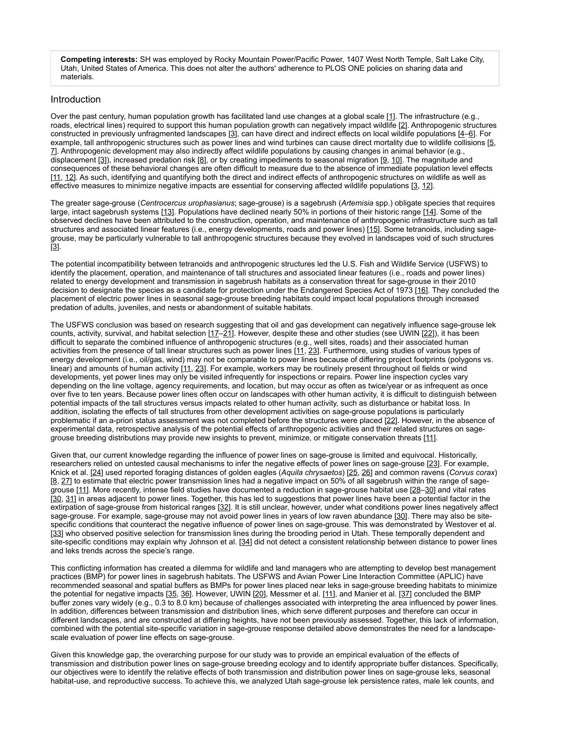**Competing interests:** SH was employed by Rocky Mountain Power/Pacific Power, 1407 West North Temple, Salt Lake City, Utah, United States of America. This does not alter the authors' adherence to PLOS ONE policies on sharing data and materials.

## Introduction

Over the past century, human population growth has facilitated land use changes at a global scale [[1](#page-12-0)]. The infrastructure (e.g., roads, electrical lines) required to support this human population growth can negatively impact wildlife [[2](#page-13-0)]. Anthropogenic structures constructed in previously unfragmented landscapes [\[3](#page-13-1)], can have direct and indirect effects on local wildlife populations [\[4–](#page-13-2)[6\]](#page-13-3). For example, tall anthropogenic structures such as power lines and wind turbines can cause direct mortality due to wildlife collisions [5] [7\]](#page-13-5). Anthropogenic development may also indirectly affect wildlife populations by causing changes in animal behavior (e.g., displacement [\[3\]](#page-13-1)), increased predation risk [\[8\]](#page-13-6), or by creating impediments to seasonal migration [\[9](#page-13-7), [10\]](#page-13-8). The magnitude and consequences of these behavioral changes are often difficult to measure due to the absence of immediate population level effects [\[11,](#page-13-9) [12\]](#page-13-10). As such, identifying and quantifying both the direct and indirect effects of anthropogenic structures on wildlife as well as effective measures to minimize negative impacts are essential for conserving affected wildlife populations [\[3,](#page-13-1) [12](#page-13-10)].

The greater sage-grouse (*Centrocercus urophasianus*; sage-grouse) is a sagebrush (*Artemisia* spp.) obligate species that requires large, intact sagebrush systems [\[13\]](#page-13-11). Populations have declined nearly 50% in portions of their historic range [[14\]](#page-13-12). Some of the observed declines have been attributed to the construction, operation, and maintenance of anthropogenic infrastructure such as tall structures and associated linear features (i.e., energy developments, roads and power lines) [[15\]](#page-13-13). Some tetranoids, including sagegrouse, may be particularly vulnerable to tall anthropogenic structures because they evolved in landscapes void of such structures [\[3\]](#page-13-1).

The potential incompatibility between tetranoids and anthropogenic structures led the U.S. Fish and Wildlife Service (USFWS) to identify the placement, operation, and maintenance of tall structures and associated linear features (i.e., roads and power lines) related to energy development and transmission in sagebrush habitats as a conservation threat for sage-grouse in their 2010 decision to designate the species as a candidate for protection under the Endangered Species Act of 1973 [\[16](#page-13-14)]. They concluded the placement of electric power lines in seasonal sage-grouse breeding habitats could impact local populations through increased predation of adults, juveniles, and nests or abandonment of suitable habitats.

The USFWS conclusion was based on research suggesting that oil and gas development can negatively influence sage-grouse lek counts, activity, survival, and habitat selection [\[17](#page-13-15)[–21](#page-14-0)]. However, despite these and other studies (see UWIN [\[22](#page-14-1)]), it has been difficult to separate the combined influence of anthropogenic structures (e.g., well sites, roads) and their associated human activities from the presence of tall linear structures such as power lines [[11,](#page-13-9) [23](#page-14-2)]. Furthermore, using studies of various types of energy development (i.e., oil/gas, wind) may not be comparable to power lines because of differing project footprints (polygons vs. linear) and amounts of human activity [\[11,](#page-13-9) [23\]](#page-14-2). For example, workers may be routinely present throughout oil fields or wind developments, yet power lines may only be visited infrequently for inspections or repairs. Power line inspection cycles vary depending on the line voltage, agency requirements, and location, but may occur as often as twice/year or as infrequent as once over five to ten years. Because power lines often occur on landscapes with other human activity, it is difficult to distinguish between potential impacts of the tall structures versus impacts related to other human activity, such as disturbance or habitat loss. In addition, isolating the effects of tall structures from other development activities on sage-grouse populations is particularly problematic if an a-priori status assessment was not completed before the structures were placed [\[22\]](#page-14-1). However, in the absence of experimental data, retrospective analysis of the potential effects of anthropogenic activities and their related structures on sage-grouse breeding distributions may provide new insights to prevent, minimize, or mitigate conservation threats [[11\]](#page-13-9).

Given that, our current knowledge regarding the influence of power lines on sage-grouse is limited and equivocal. Historically, researchers relied on untested causal mechanisms to infer the negative effects of power lines on sage-grouse [[23\]](#page-14-2). For example, Knick et al. [[24\]](#page-14-3) used reported foraging distances of golden eagles (*Aquila chrysaetos*) [\[25,](#page-14-4) [26](#page-14-5)] and common ravens (*Corvus corax*) [\[8,](#page-13-6) [27\]](#page-14-6) to estimate that electric power transmission lines had a negative impact on 50% of all sagebrush within the range of sage-grouse [[11](#page-13-9)]. More recently, intense field studies have documented a reduction in sage-grouse habitat use [[28–](#page-14-7)[30\]](#page-14-8) and vital rates [\[30](#page-14-8), [31](#page-14-9)] in areas adjacent to power lines. Together, this has led to suggestions that power lines have been a potential factor in the extirpation of sage-grouse from historical ranges [[32\]](#page-14-10). It is still unclear, however, under what conditions power lines negatively affect sage-grouse. For example, sage-grouse may not avoid power lines in years of low raven abundance [[30\]](#page-14-8). There may also be sitespecific conditions that counteract the negative influence of power lines on sage-grouse. This was demonstrated by Westover et al. [\[33](#page-14-11)] who observed positive selection for transmission lines during the brooding period in Utah. These temporally dependent and site-specific conditions may explain why Johnson et al. [[34\]](#page-14-12) did not detect a consistent relationship between distance to power lines and leks trends across the specie's range.

This conflicting information has created a dilemma for wildlife and land managers who are attempting to develop best management practices (BMP) for power lines in sagebrush habitats. The USFWS and Avian Power Line Interaction Committee (APLIC) have recommended seasonal and spatial buffers as BMPs for power lines placed near leks in sage-grouse breeding habitats to minimize the potential for negative impacts [\[35](#page-14-13), [36](#page-14-14)]. However, UWIN [\[20](#page-14-15)], Messmer et al. [[11](#page-13-9)], and Manier et al. [[37](#page-14-16)] concluded the BMP buffer zones vary widely (e.g., 0.3 to 8.0 km) because of challenges associated with interpreting the area influenced by power lines. In addition, differences between transmission and distribution lines, which serve different purposes and therefore can occur in different landscapes, and are constructed at differing heights, have not been previously assessed. Together, this lack of information, combined with the potential site-specific variation in sage-grouse response detailed above demonstrates the need for a landscapescale evaluation of power line effects on sage-grouse.

Given this knowledge gap, the overarching purpose for our study was to provide an empirical evaluation of the effects of transmission and distribution power lines on sage-grouse breeding ecology and to identify appropriate buffer distances. Specifically, our objectives were to identify the relative effects of both transmission and distribution power lines on sage-grouse leks, seasonal habitat-use, and reproductive success. To achieve this, we analyzed Utah sage-grouse lek persistence rates, male lek counts, and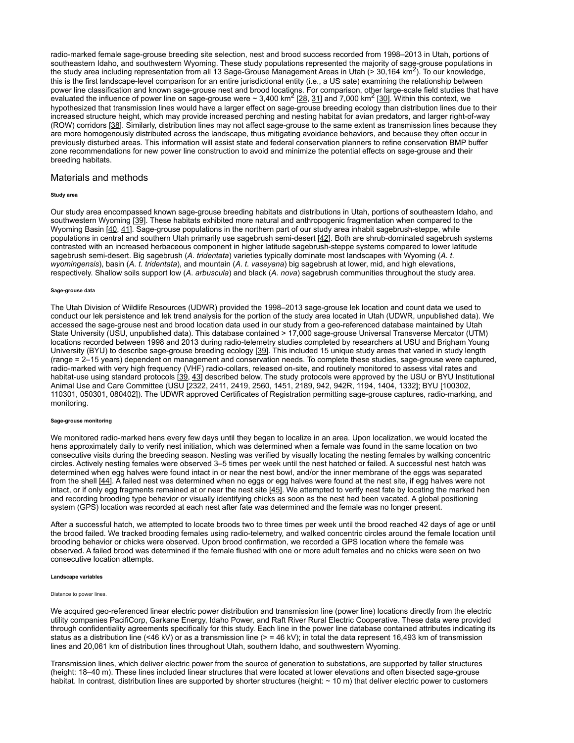radio-marked female sage-grouse breeding site selection, nest and brood success recorded from 1998–2013 in Utah, portions of southeastern Idaho, and southwestern Wyoming. These study populations represented the majority of sage-grouse populations in the study area including representation from all 13 Sage-Grouse Management Areas in Utah (> 30,164 km<sup>2</sup>). To our knowledge, this is the first landscape-level comparison for an entire jurisdictional entity (i.e., a US sate) examining the relationship between power line classification and known sage-grouse nest and brood locations. For comparison, other large-scale field studies that have evaluated the influence of power line on sage-grouse were  $\sim 3,400$  km<sup>2</sup> [[28,](#page-14-7) [31](#page-14-9)] and 7,000 km<sup>2</sup> [\[30](#page-14-8)]. Within this context, we hypothesized that transmission lines would have a larger effect on sage-grouse breeding ecology than distribution lines due to their increased structure height, which may provide increased perching and nesting habitat for avian predators, and larger right-of-way (ROW) corridors [\[38\]](#page-14-17). Similarly, distribution lines may not affect sage-grouse to the same extent as transmission lines because they are more homogenously distributed across the landscape, thus mitigating avoidance behaviors, and because they often occur in previously disturbed areas. This information will assist state and federal conservation planners to refine conservation BMP buffer zone recommendations for new power line construction to avoid and minimize the potential effects on sage-grouse and their breeding habitats.

## Materials and methods

#### **Study area**

Our study area encompassed known sage-grouse breeding habitats and distributions in Utah, portions of southeastern Idaho, and southwestern Wyoming [\[39](#page-15-0)]. These habitats exhibited more natural and anthropogenic fragmentation when compared to the Wyoming Basin [[40,](#page-15-1) [41](#page-15-2)]. Sage-grouse populations in the northern part of our study area inhabit sagebrush-steppe, while populations in central and southern Utah primarily use sagebrush semi-desert [\[42](#page-15-3)]. Both are shrub-dominated sagebrush systems contrasted with an increased herbaceous component in higher latitude sagebrush-steppe systems compared to lower latitude sagebrush semi-desert. Big sagebrush (*A*. *tridentata*) varieties typically dominate most landscapes with Wyoming (*A*. *t*. *wyomingensis*), basin (*A*. *t*. *tridentata*), and mountain (*A*. *t*. *vaseyana*) big sagebrush at lower, mid, and high elevations, respectively. Shallow soils support low (*A*. *arbuscula*) and black (*A*. *nova*) sagebrush communities throughout the study area.

#### **Sage-grouse data**

The Utah Division of Wildlife Resources (UDWR) provided the 1998–2013 sage-grouse lek location and count data we used to conduct our lek persistence and lek trend analysis for the portion of the study area located in Utah (UDWR, unpublished data). We accessed the sage-grouse nest and brood location data used in our study from a geo-referenced database maintained by Utah State University (USU, unpublished data). This database contained > 17,000 sage-grouse Universal Transverse Mercator (UTM) locations recorded between 1998 and 2013 during radio-telemetry studies completed by researchers at USU and Brigham Young University (BYU) to describe sage-grouse breeding ecology [[39](#page-15-0)]. This included 15 unique study areas that varied in study length (range = 2–15 years) dependent on management and conservation needs. To complete these studies, sage-grouse were captured, radio-marked with very high frequency (VHF) radio-collars, released on-site, and routinely monitored to assess vital rates and habitat-use using standard protocols [\[39,](#page-15-0) [43](#page-15-4)] described below. The study protocols were approved by the USU or BYU Institutional Animal Use and Care Committee (USU [2322, 2411, 2419, 2560, 1451, 2189, 942, 942R, 1194, 1404, 1332]; BYU [100302, 110301, 050301, 080402]). The UDWR approved Certificates of Registration permitting sage-grouse captures, radio-marking, and monitoring.

#### **Sage-grouse monitoring**

We monitored radio-marked hens every few days until they began to localize in an area. Upon localization, we would located the hens approximately daily to verify nest initiation, which was determined when a female was found in the same location on two consecutive visits during the breeding season. Nesting was verified by visually locating the nesting females by walking concentric circles. Actively nesting females were observed 3–5 times per week until the nest hatched or failed. A successful nest hatch was determined when egg halves were found intact in or near the nest bowl, and/or the inner membrane of the eggs was separated from the shell [[44](#page-15-5)]. A failed nest was determined when no eggs or egg halves were found at the nest site, if egg halves were not intact, or if only egg fragments remained at or near the nest site [[45\]](#page-15-6). We attempted to verify nest fate by locating the marked hen and recording brooding type behavior or visually identifying chicks as soon as the nest had been vacated. A global positioning system (GPS) location was recorded at each nest after fate was determined and the female was no longer present.

After a successful hatch, we attempted to locate broods two to three times per week until the brood reached 42 days of age or until the brood failed. We tracked brooding females using radio-telemetry, and walked concentric circles around the female location until brooding behavior or chicks were observed. Upon brood confirmation, we recorded a GPS location where the female was observed. A failed brood was determined if the female flushed with one or more adult females and no chicks were seen on two consecutive location attempts.

#### **Landscape variables**

#### Distance to power lines.

We acquired geo-referenced linear electric power distribution and transmission line (power line) locations directly from the electric utility companies PacifiCorp, Garkane Energy, Idaho Power, and Raft River Rural Electric Cooperative. These data were provided through confidentiality agreements specifically for this study. Each line in the power line database contained attributes indicating its status as a distribution line (<46 kV) or as a transmission line (> = 46 kV); in total the data represent 16,493 km of transmission lines and 20,061 km of distribution lines throughout Utah, southern Idaho, and southwestern Wyoming.

Transmission lines, which deliver electric power from the source of generation to substations, are supported by taller structures (height: 18–40 m). These lines included linear structures that were located at lower elevations and often bisected sage-grouse habitat. In contrast, distribution lines are supported by shorter structures (height: ~ 10 m) that deliver electric power to customers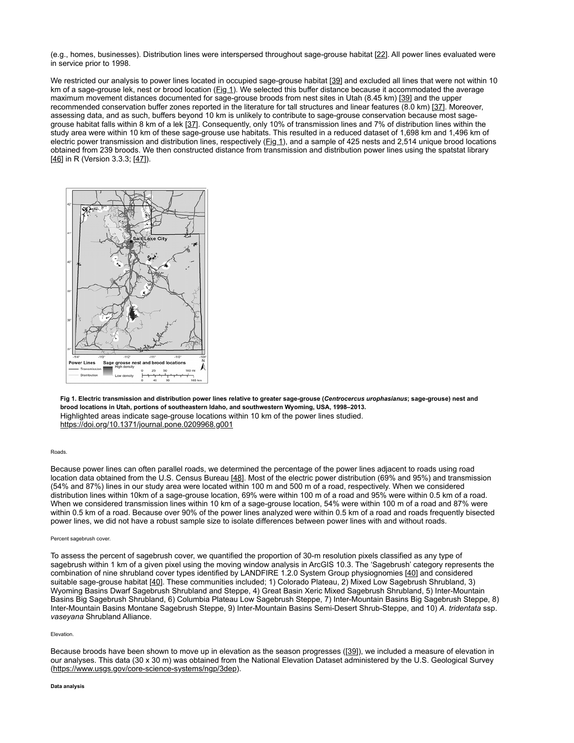(e.g., homes, businesses). Distribution lines were interspersed throughout sage-grouse habitat [[22](#page-14-1)]. All power lines evaluated were in service prior to 1998.

We restricted our analysis to power lines located in occupied sage-grouse habitat [[39](#page-15-0)] and excluded all lines that were not within 10 km of a sage-grouse lek, nest or brood location [\(Fig 1\)](#page-3-0). We selected this buffer distance because it accommodated the average maximum movement distances documented for sage-grouse broods from nest sites in Utah (8.45 km) [[39](#page-15-0)] and the upper recommended conservation buffer zones reported in the literature for tall structures and linear features (8.0 km) [[37](#page-14-16)]. Moreover, assessing data, and as such, buffers beyond 10 km is unlikely to contribute to sage-grouse conservation because most sagegrouse habitat falls within 8 km of a lek [[37](#page-14-16)]. Consequently, only 10% of transmission lines and 7% of distribution lines within the study area were within 10 km of these sage-grouse use habitats. This resulted in a reduced dataset of 1,698 km and 1,496 km of electric power transmission and distribution lines, respectively (Eig 1), and a sample of 425 nests and 2,514 unique brood locations obtained from 239 broods. We then constructed distance from transmission and distribution power lines using the spatstat library [\[46](#page-15-7)] in R (Version 3.3.3; [[47\]](#page-15-8)).

<span id="page-3-0"></span>

**Fig 1. Electric transmission and distribution power lines relative to greater sage-grouse (***Centrocercus urophasianus***; sage-grouse) nest and brood locations in Utah, portions of southeastern Idaho, and southwestern Wyoming, USA, 1998–2013.** Highlighted areas indicate sage-grouse locations within 10 km of the power lines studied. <https://doi.org/10.1371/journal.pone.0209968.g001>

#### Roads.

Because power lines can often parallel roads, we determined the percentage of the power lines adjacent to roads using road location data obtained from the U.S. Census Bureau [[48](#page-15-9)]. Most of the electric power distribution (69% and 95%) and transmission (54% and 87%) lines in our study area were located within 100 m and 500 m of a road, respectively. When we considered distribution lines within 10km of a sage-grouse location, 69% were within 100 m of a road and 95% were within 0.5 km of a road. When we considered transmission lines within 10 km of a sage-grouse location, 54% were within 100 m of a road and 87% were within 0.5 km of a road. Because over 90% of the power lines analyzed were within 0.5 km of a road and roads frequently bisected power lines, we did not have a robust sample size to isolate differences between power lines with and without roads.

#### Percent sagebrush cover.

To assess the percent of sagebrush cover, we quantified the proportion of 30-m resolution pixels classified as any type of sagebrush within 1 km of a given pixel using the moving window analysis in ArcGIS 10.3. The 'Sagebrush' category represents the combination of nine shrubland cover types identified by LANDFIRE 1.2.0 System Group physiognomies [[40\]](#page-15-1) and considered suitable sage-grouse habitat [[40](#page-15-1)]. These communities included; 1) Colorado Plateau, 2) Mixed Low Sagebrush Shrubland, 3) Wyoming Basins Dwarf Sagebrush Shrubland and Steppe, 4) Great Basin Xeric Mixed Sagebrush Shrubland, 5) Inter-Mountain Basins Big Sagebrush Shrubland, 6) Columbia Plateau Low Sagebrush Steppe, 7) Inter-Mountain Basins Big Sagebrush Steppe, 8) Inter-Mountain Basins Montane Sagebrush Steppe, 9) Inter-Mountain Basins Semi-Desert Shrub-Steppe, and 10) *A*. *tridentata* ssp. *vaseyana* Shrubland Alliance.

#### Elevation.

Because broods have been shown to move up in elevation as the season progresses ([[39](#page-15-0)]), we included a measure of elevation in our analyses. This data (30 x 30 m) was obtained from the National Elevation Dataset administered by the U.S. Geological Survey ([https://www.usgs.gov/core-science-systems/ngp/3dep\)](https://www.usgs.gov/core-science-systems/ngp/3dep).

#### **Data analysis**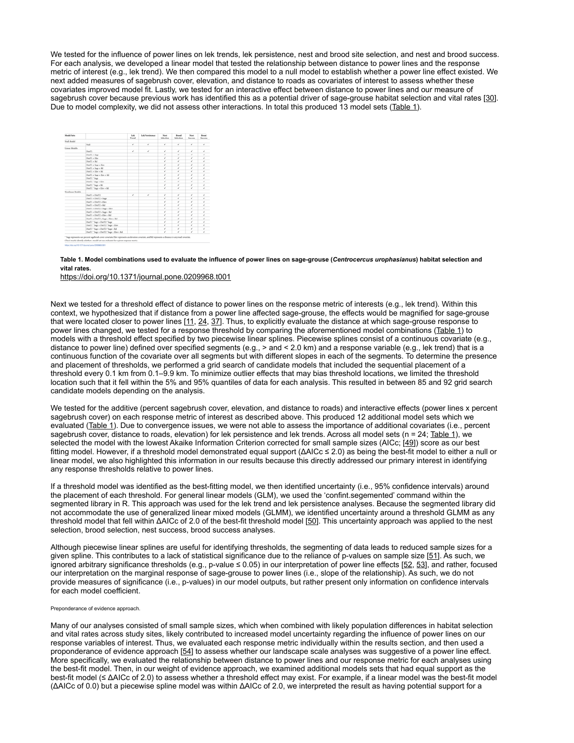We tested for the influence of power lines on lek trends, lek persistence, nest and brood site selection, and nest and brood success. For each analysis, we developed a linear model that tested the relationship between distance to power lines and the response metric of interest (e.g., lek trend). We then compared this model to a null model to establish whether a power line effect existed. We next added measures of sagebrush cover, elevation, and distance to roads as covariates of interest to assess whether these covariates improved model fit. Lastly, we tested for an interactive effect between distance to power lines and our measure of sagebrush cover because previous work has identified this as a potential driver of sage-grouse habitat selection and vital rates [[30\]](#page-14-8). Due to model complexity, we did not assess other interactions. In total this produced 13 model sets ([Table 1\)](#page-4-0).

<span id="page-4-0"></span>

| Model Sets       |                                        | <b>Lek</b><br>Trend      | <b>Lek Pensionnes</b>    | New<br>Selection         | <b>Bound</b><br>Selection | Next<br>Saccores         | Reservi<br>Soccess       |
|------------------|----------------------------------------|--------------------------|--------------------------|--------------------------|---------------------------|--------------------------|--------------------------|
| Null Model       |                                        |                          |                          |                          |                           |                          |                          |
|                  | Nell                                   | $\epsilon$               | v                        | v                        | v                         | v                        | v                        |
| Linear Models    |                                        |                          |                          |                          |                           |                          |                          |
|                  | Dis(TL                                 | $\overline{\phantom{a}}$ | $\overline{\phantom{a}}$ | v                        | $\overline{\phantom{a}}$  | $\overline{\phantom{a}}$ | $\overline{\phantom{a}}$ |
|                  | DistTL + Seat                          |                          |                          | v                        | v                         | í                        | $\epsilon$               |
|                  | DistTL + Hey                           |                          |                          | ï                        | $\epsilon$                | é                        | í                        |
|                  | DistTL + Rd                            |                          |                          | v                        | v                         | v                        | v                        |
|                  | DistTL + Sage + Elev                   |                          |                          | i                        | ٠                         | é                        | $\overline{\phantom{a}}$ |
|                  | DistTL = Sept + Rd                     |                          |                          | é                        | v                         | é                        | v                        |
|                  | DistTL + Hey + Rd                      |                          |                          | é                        | $\overline{\phantom{a}}$  | é                        | $\epsilon$               |
|                  | DistTL = Sage + Elev + Rd.             |                          |                          | v                        | $\overline{\phantom{a}}$  | v                        | $\overline{\phantom{a}}$ |
|                  | DistTL <sup>+</sup> Supr               |                          |                          | $\epsilon$               | v                         | i                        | $\overline{\phantom{a}}$ |
|                  | DistTL * Suge + Elev                   |                          |                          | v                        | v                         | é                        | v                        |
|                  | DistTL * Suge + Rd                     |                          |                          | é                        | é                         | é                        | é                        |
|                  | DistTL * Sage + Elev + Rd              |                          |                          | v                        | v                         | v                        | v                        |
| Nordinger Models |                                        |                          |                          |                          |                           |                          |                          |
|                  | DistTi + DistT2                        | $\lambda$                | $\overline{\phantom{a}}$ | v                        | v                         | é                        | $\epsilon$               |
|                  | DistT1 + DistT2 + Sapr                 |                          |                          | é                        | $\overline{\phantom{a}}$  | ï                        | $\overline{\phantom{a}}$ |
|                  | DistTi a DistT2 a Hey                  |                          |                          | $\overline{\phantom{a}}$ | $\epsilon$                | é                        | $\epsilon$               |
|                  | $DwT1 + DwT2 + 8d$                     |                          |                          | é                        | v                         | é                        | v                        |
|                  | DistT1 + DistT2 + Sage + Elev          |                          |                          | v                        | v                         | é                        | é                        |
|                  | DistT1 + DistT2 + Sage + Rd            |                          |                          | é                        | $\epsilon$                | ï                        | $\omega$                 |
|                  | DistT1 + DistT2 + Elev + Rd            |                          |                          | v                        | v                         | é                        | v                        |
|                  | DistTi + DistT2 + Sage + Hey + Rd      |                          |                          | v                        | $\overline{\phantom{a}}$  | é                        | $\overline{\phantom{a}}$ |
|                  | DistT1" Sage + DistT2" Sage            |                          |                          | í                        | $\epsilon$                | ï                        | $\epsilon$               |
|                  | DistT1" Sage + DistT2" Sage + Elev     |                          |                          | ï                        | $\overline{\phantom{a}}$  | é                        | $\epsilon$               |
|                  | DistT1 " Sage + DistT2 " Sage + Rd     |                          |                          | v                        | v                         | é                        | v                        |
|                  | DistT1" Sage + DistT2" Sage + Hev + Rd |                          |                          | v                        | é                         | é                        | é                        |

**Table 1. Model combinations used to evaluate the influence of power lines on sage-grouse (***Centrocercus urophasianus***) habitat selection and vital rates.**

## <https://doi.org/10.1371/journal.pone.0209968.t001>

Next we tested for a threshold effect of distance to power lines on the response metric of interests (e.g., lek trend). Within this context, we hypothesized that if distance from a power line affected sage-grouse, the effects would be magnified for sage-grouse that were located closer to power lines [[11](#page-13-9), [24,](#page-14-3) [37\]](#page-14-16). Thus, to explicitly evaluate the distance at which sage-grouse response to power lines changed, we tested for a response threshold by comparing the aforementioned model combinations [\(Table 1](#page-4-0)) to models with a threshold effect specified by two piecewise linear splines. Piecewise splines consist of a continuous covariate (e.g., distance to power line) defined over specified segments (e.g., > and < 2.0 km) and a response variable (e.g., lek trend) that is a continuous function of the covariate over all segments but with different slopes in each of the segments. To determine the presence and placement of thresholds, we performed a grid search of candidate models that included the sequential placement of a threshold every 0.1 km from 0.1–9.9 km. To minimize outlier effects that may bias threshold locations, we limited the threshold location such that it fell within the 5% and 95% quantiles of data for each analysis. This resulted in between 85 and 92 grid search candidate models depending on the analysis.

We tested for the additive (percent sagebrush cover, elevation, and distance to roads) and interactive effects (power lines x percent sagebrush cover) on each response metric of interest as described above. This produced 12 additional model sets which we evaluated ([Table 1](#page-4-0)). Due to convergence issues, we were not able to assess the importance of additional covariates (i.e., percent sagebrush cover, distance to roads, elevation) for lek persistence and lek trends. Across all model sets (n = 24; [Table 1\)](#page-4-0), we selected the model with the lowest Akaike Information Criterion corrected for small sample sizes (AICc; [\[49](#page-15-10)]) score as our best fitting model. However, if a threshold model demonstrated equal support (ΔAICc ≤ 2.0) as being the best-fit model to either a null or linear model, we also highlighted this information in our results because this directly addressed our primary interest in identifying any response thresholds relative to power lines.

If a threshold model was identified as the best-fitting model, we then identified uncertainty (i.e., 95% confidence intervals) around the placement of each threshold. For general linear models (GLM), we used the 'confint.segemented' command within the segmented library in R. This approach was used for the lek trend and lek persistence analyses. Because the segmented library did not accommodate the use of generalized linear mixed models (GLMM), we identified uncertainty around a threshold GLMM as any threshold model that fell within ΔAICc of 2.0 of the best-fit threshold model [[50](#page-15-11)]. This uncertainty approach was applied to the nest selection, brood selection, nest success, brood success analyses.

Although piecewise linear splines are useful for identifying thresholds, the segmenting of data leads to reduced sample sizes for a given spline. This contributes to a lack of statistical significance due to the reliance of p-values on sample size [[51\]](#page-15-12). As such, we ignored arbitrary significance thresholds (e.g., p-value ≤ 0.05) in our interpretation of power line effects [\[52,](#page-15-13) [53\]](#page-15-14), and rather, focused our interpretation on the marginal response of sage-grouse to power lines (i.e., slope of the relationship). As such, we do not provide measures of significance (i.e., p-values) in our model outputs, but rather present only information on confidence intervals for each model coefficient.

#### Preponderance of evidence approach.

Many of our analyses consisted of small sample sizes, which when combined with likely population differences in habitat selection and vital rates across study sites, likely contributed to increased model uncertainty regarding the influence of power lines on our response variables of interest. Thus, we evaluated each response metric individually within the results section, and then used a proponderance of evidence approach [[54](#page-15-15)] to assess whether our landscape scale analyses was suggestive of a power line effect. More specifically, we evaluated the relationship between distance to power lines and our response metric for each analyses using the best-fit model. Then, in our weight of evidence approach, we examined additional models sets that had equal support as the best-fit model (≤ ΔAICc of 2.0) to assess whether a threshold effect may exist. For example, if a linear model was the best-fit model (ΔAICc of 0.0) but a piecewise spline model was within ΔAICc of 2.0, we interpreted the result as having potential support for a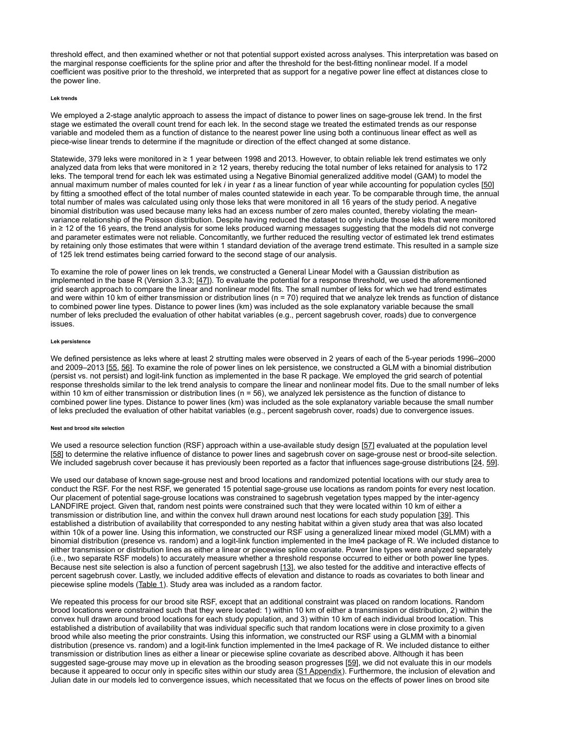threshold effect, and then examined whether or not that potential support existed across analyses. This interpretation was based on the marginal response coefficients for the spline prior and after the threshold for the best-fitting nonlinear model. If a model coefficient was positive prior to the threshold, we interpreted that as support for a negative power line effect at distances close to the power line.

#### **Lek trends**

We employed a 2-stage analytic approach to assess the impact of distance to power lines on sage-grouse lek trend. In the first stage we estimated the overall count trend for each lek. In the second stage we treated the estimated trends as our response variable and modeled them as a function of distance to the nearest power line using both a continuous linear effect as well as piece-wise linear trends to determine if the magnitude or direction of the effect changed at some distance.

Statewide, 379 leks were monitored in ≥ 1 year between 1998 and 2013. However, to obtain reliable lek trend estimates we only analyzed data from leks that were monitored in ≥ 12 years, thereby reducing the total number of leks retained for analysis to 172 leks. The temporal trend for each lek was estimated using a Negative Binomial generalized additive model (GAM) to model the annual maximum number of males counted for lek *i* in year *t* as a linear function of year while accounting for population cycles [[50](#page-15-11)] by fitting a smoothed effect of the total number of males counted statewide in each year. To be comparable through time, the annual total number of males was calculated using only those leks that were monitored in all 16 years of the study period. A negative binomial distribution was used because many leks had an excess number of zero males counted, thereby violating the meanvariance relationship of the Poisson distribution. Despite having reduced the dataset to only include those leks that were monitored in ≥ 12 of the 16 years, the trend analysis for some leks produced warning messages suggesting that the models did not converge and parameter estimates were not reliable. Concomitantly, we further reduced the resulting vector of estimated lek trend estimates by retaining only those estimates that were within 1 standard deviation of the average trend estimate. This resulted in a sample size of 125 lek trend estimates being carried forward to the second stage of our analysis.

To examine the role of power lines on lek trends, we constructed a General Linear Model with a Gaussian distribution as implemented in the base R (Version 3.3.3;  $[47]$  $[47]$ ). To evaluate the potential for a response threshold, we used the aforementioned grid search approach to compare the linear and nonlinear model fits. The small number of leks for which we had trend estimates and were within 10 km of either transmission or distribution lines (n = 70) required that we analyze lek trends as function of distance to combined power line types. Distance to power lines (km) was included as the sole explanatory variable because the small number of leks precluded the evaluation of other habitat variables (e.g., percent sagebrush cover, roads) due to convergence issues.

#### **Lek persistence**

We defined persistence as leks where at least 2 strutting males were observed in 2 years of each of the 5-year periods 1996–2000 and 2009–2013 [[55,](#page-15-16) [56\]](#page-15-17). To examine the role of power lines on lek persistence, we constructed a GLM with a binomial distribution (persist vs. not persist) and logit-link function as implemented in the base R package. We employed the grid search of potential response thresholds similar to the lek trend analysis to compare the linear and nonlinear model fits. Due to the small number of leks within 10 km of either transmission or distribution lines (n = 56), we analyzed lek persistence as the function of distance to combined power line types. Distance to power lines (km) was included as the sole explanatory variable because the small number of leks precluded the evaluation of other habitat variables (e.g., percent sagebrush cover, roads) due to convergence issues.

#### **Nest and brood site selection**

We used a resource selection function (RSF) approach within a use-available study design [[57\]](#page-15-18) evaluated at the population level [\[58](#page-15-19)] to determine the relative influence of distance to power lines and sagebrush cover on sage-grouse nest or brood-site selection. We included sagebrush cover because it has previously been reported as a factor that influences sage-grouse distributions [[24](#page-14-3), [59](#page-15-20)].

We used our database of known sage-grouse nest and brood locations and randomized potential locations with our study area to conduct the RSF. For the nest RSF, we generated 15 potential sage-grouse use locations as random points for every nest location. Our placement of potential sage-grouse locations was constrained to sagebrush vegetation types mapped by the inter-agency LANDFIRE project. Given that, random nest points were constrained such that they were located within 10 km of either a transmission or distribution line, and within the convex hull drawn around nest locations for each study population [[39\]](#page-15-0). This established a distribution of availability that corresponded to any nesting habitat within a given study area that was also located within 10k of a power line. Using this information, we constructed our RSF using a generalized linear mixed model (GLMM) with a binomial distribution (presence vs. random) and a logit-link function implemented in the lme4 package of R. We included distance to either transmission or distribution lines as either a linear or piecewise spline covariate. Power line types were analyzed separately (i.e., two separate RSF models) to accurately measure whether a threshold response occurred to either or both power line types. Because nest site selection is also a function of percent sagebrush [\[13\]](#page-13-11), we also tested for the additive and interactive effects of percent sagebrush cover. Lastly, we included additive effects of elevation and distance to roads as covariates to both linear and piecewise spline models ([Table 1](#page-4-0)). Study area was included as a random factor.

We repeated this process for our brood site RSF, except that an additional constraint was placed on random locations. Random brood locations were constrained such that they were located: 1) within 10 km of either a transmission or distribution, 2) within the convex hull drawn around brood locations for each study population, and 3) within 10 km of each individual brood location. This established a distribution of availability that was individual specific such that random locations were in close proximity to a given brood while also meeting the prior constraints. Using this information, we constructed our RSF using a GLMM with a binomial distribution (presence vs. random) and a logit-link function implemented in the lme4 package of R. We included distance to either transmission or distribution lines as either a linear or piecewise spline covariate as described above. Although it has been suggested sage-grouse may move up in elevation as the brooding season progresses [[59](#page-15-20)], we did not evaluate this in our models because it appeared to occur only in specific sites within our study area [\(S1 Appendix](#page-12-1)). Furthermore, the inclusion of elevation and Julian date in our models led to convergence issues, which necessitated that we focus on the effects of power lines on brood site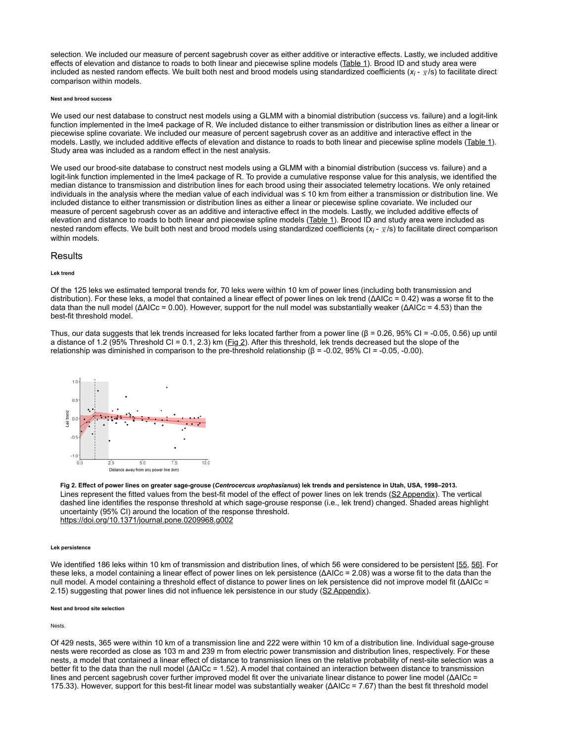selection. We included our measure of percent sagebrush cover as either additive or interactive effects. Lastly, we included additive effects of elevation and distance to roads to both linear and piecewise spline models [\(Table 1\)](#page-4-0). Brood ID and study area were included as nested random effects. We built both nest and brood models using standardized coefficients ( $x_i$  -  $\bar{x}/s$ ) to facilitate direct comparison within models.

#### **Nest and brood success**

We used our nest database to construct nest models using a GLMM with a binomial distribution (success vs. failure) and a logit-link function implemented in the lme4 package of R. We included distance to either transmission or distribution lines as either a linear or piecewise spline covariate. We included our measure of percent sagebrush cover as an additive and interactive effect in the models. Lastly, we included additive effects of elevation and distance to roads to both linear and piecewise spline models [\(Table 1\)](#page-4-0). Study area was included as a random effect in the nest analysis.

We used our brood-site database to construct nest models using a GLMM with a binomial distribution (success vs. failure) and a logit-link function implemented in the lme4 package of R. To provide a cumulative response value for this analysis, we identified the median distance to transmission and distribution lines for each brood using their associated telemetry locations. We only retained individuals in the analysis where the median value of each individual was ≤ 10 km from either a transmission or distribution line. We included distance to either transmission or distribution lines as either a linear or piecewise spline covariate. We included our measure of percent sagebrush cover as an additive and interactive effect in the models. Lastly, we included additive effects of elevation and distance to roads to both linear and piecewise spline models ([Table 1](#page-4-0)). Brood ID and study area were included as nested random effects. We built both nest and brood models using standardized coefficients (x<sub>i</sub> -  $\bar{x}$ /s) to facilitate direct comparison within models.

#### Results

#### **Lek trend**

Of the 125 leks we estimated temporal trends for, 70 leks were within 10 km of power lines (including both transmission and distribution). For these leks, a model that contained a linear effect of power lines on lek trend (ΔAICc = 0.42) was a worse fit to the data than the null model (ΔAICc = 0.00). However, support for the null model was substantially weaker (ΔAICc = 4.53) than the best-fit threshold model.

Thus, our data suggests that lek trends increased for leks located farther from a power line ( $\beta$  = 0.26, 95% CI = -0.05, 0.56) up until a distance of 1.2 (95% Threshold CI = 0.1, 2.3) km ([Fig 2](#page-6-0)). After this threshold, lek trends decreased but the slope of the relationship was diminished in comparison to the pre-threshold relationship ( $β = -0.02$ , 95% CI = -0.05, -0.00).

<span id="page-6-0"></span>

**Fig 2. Effect of power lines on greater sage-grouse (***Centrocercus urophasianus***) lek trends and persistence in Utah, USA, 1998–2013.** Lines represent the fitted values from the best-fit model of the effect of power lines on lek trends ([S2 Appendix](#page-12-2)). The vertical dashed line identifies the response threshold at which sage-grouse response (i.e., lek trend) changed. Shaded areas highlight uncertainty (95% CI) around the location of the response threshold. <https://doi.org/10.1371/journal.pone.0209968.g002>

#### **Lek persistence**

We identified 186 leks within 10 km of transmission and distribution lines, of which 56 were considered to be persistent [[55](#page-15-16), [56](#page-15-17)]. For these leks, a model containing a linear effect of power lines on lek persistence (ΔAICc = 2.08) was a worse fit to the data than the null model. A model containing a threshold effect of distance to power lines on lek persistence did not improve model fit (ΔAICc = 2.15) suggesting that power lines did not influence lek persistence in our study ([S2 Appendix\)](#page-12-2).

#### **Nest and brood site selection**

#### Nests.

Of 429 nests, 365 were within 10 km of a transmission line and 222 were within 10 km of a distribution line. Individual sage-grouse nests were recorded as close as 103 m and 239 m from electric power transmission and distribution lines, respectively. For these nests, a model that contained a linear effect of distance to transmission lines on the relative probability of nest-site selection was a better fit to the data than the null model (ΔAICc = 1.52). A model that contained an interaction between distance to transmission lines and percent sagebrush cover further improved model fit over the univariate linear distance to power line model (ΔAICc = 175.33). However, support for this best-fit linear model was substantially weaker ( $ΔAICc = 7.67$ ) than the best fit threshold model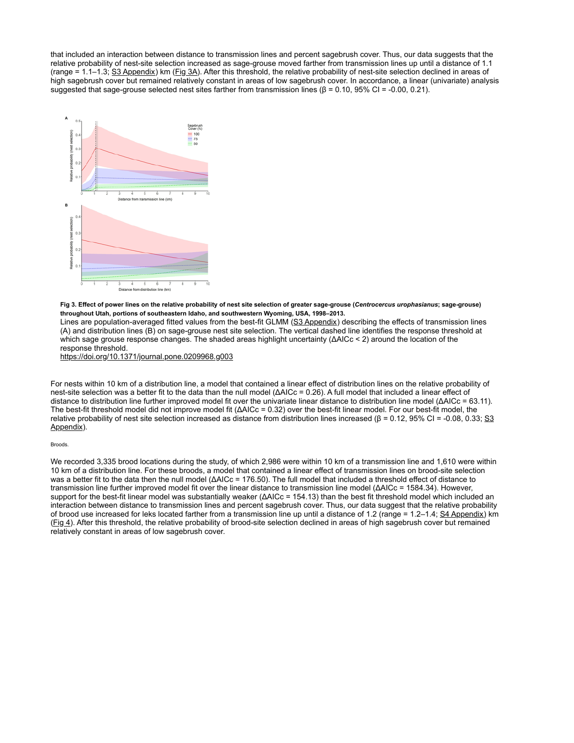that included an interaction between distance to transmission lines and percent sagebrush cover. Thus, our data suggests that the relative probability of nest-site selection increased as sage-grouse moved farther from transmission lines up until a distance of 1.1 (range = 1.1–1.3; [S3 Appendix\)](#page-12-3) km ([Fig 3A\)](#page-7-0). After this threshold, the relative probability of nest-site selection declined in areas of high sagebrush cover but remained relatively constant in areas of low sagebrush cover. In accordance, a linear (univariate) analysis suggested that sage-grouse selected nest sites farther from transmission lines ( $\beta$  = 0.10, 95% CI = -0.00, 0.21).

<span id="page-7-0"></span>

**Fig 3. Effect of power lines on the relative probability of nest site selection of greater sage-grouse (***Centrocercus urophasianus***; sage-grouse) throughout Utah, portions of southeastern Idaho, and southwestern Wyoming, USA, 1998–2013.**

Lines are population-averaged fitted values from the best-fit GLMM ([S3 Appendix\)](#page-12-3) describing the effects of transmission lines (A) and distribution lines (B) on sage-grouse nest site selection. The vertical dashed line identifies the response threshold at which sage grouse response changes. The shaded areas highlight uncertainty (ΔAICc < 2) around the location of the response threshold.

<https://doi.org/10.1371/journal.pone.0209968.g003>

For nests within 10 km of a distribution line, a model that contained a linear effect of distribution lines on the relative probability of nest-site selection was a better fit to the data than the null model (ΔAICc = 0.26). A full model that included a linear effect of distance to distribution line further improved model fit over the univariate linear distance to distribution line model (ΔAICc = 63.11). The best-fit threshold model did not improve model fit (ΔAICc = 0.32) over the best-fit linear model. For our best-fit model, the [relative probability of nest site selection increased as distance from distribution lines increased \(β = 0.12, 95% CI = -0.08, 0.33; S3](#page-12-3) Appendix).

#### **Broods**

<span id="page-7-1"></span>We recorded 3,335 brood locations during the study, of which 2,986 were within 10 km of a transmission line and 1,610 were within 10 km of a distribution line. For these broods, a model that contained a linear effect of transmission lines on brood-site selection was a better fit to the data then the null model (ΔAICc = 176.50). The full model that included a threshold effect of distance to transmission line further improved model fit over the linear distance to transmission line model (ΔAICc = 1584.34). However, support for the best-fit linear model was substantially weaker (ΔAICc = 154.13) than the best fit threshold model which included an interaction between distance to transmission lines and percent sagebrush cover. Thus, our data suggest that the relative probability of brood use increased for leks located farther from a transmission line up until a distance of 1.2 (range = 1.2–1.4; [S4 Appendix](#page-12-4)) km ([Fig 4](#page-7-1)). After this threshold, the relative probability of brood-site selection declined in areas of high sagebrush cover but remained relatively constant in areas of low sagebrush cover.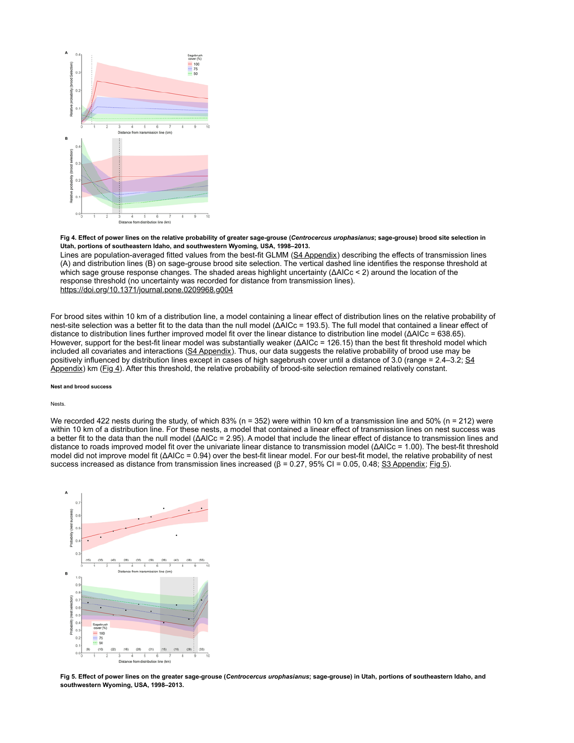

**Fig 4. Effect of power lines on the relative probability of greater sage-grouse (***Centrocercus urophasianus***; sage-grouse) brood site selection in Utah, portions of southeastern Idaho, and southwestern Wyoming, USA, 1998–2013.**

Lines are population-averaged fitted values from the best-fit GLMM ([S4 Appendix\)](#page-12-4) describing the effects of transmission lines (A) and distribution lines (B) on sage-grouse brood site selection. The vertical dashed line identifies the response threshold at which sage grouse response changes. The shaded areas highlight uncertainty (ΔAICc < 2) around the location of the response threshold (no uncertainty was recorded for distance from transmission lines). <https://doi.org/10.1371/journal.pone.0209968.g004>

For brood sites within 10 km of a distribution line, a model containing a linear effect of distribution lines on the relative probability of nest-site selection was a better fit to the data than the null model (ΔAICc = 193.5). The full model that contained a linear effect of distance to distribution lines further improved model fit over the linear distance to distribution line model (ΔAICc = 638.65). However, support for the best-fit linear model was substantially weaker (ΔAICc = 126.15) than the best fit threshold model which included all covariates and interactions  $(S4$  Appendix). Thus, our data suggests the relative probability of brood use may be positively influenced by distribution lines except in cases of high sagebrush cover until a distance of 3.0 (range =  $2.4-3.2$ ;  $\underline{S4}$ Appendix) km ([Fig 4\)](#page-7-1). After this threshold, the relative probability of brood-site selection remained relatively constant.

#### **Nest and brood success**

#### Nests.

We recorded 422 nests during the study, of which 83% ( $n = 352$ ) were within 10 km of a transmission line and 50% ( $n = 212$ ) were within 10 km of a distribution line. For these nests, a model that contained a linear effect of transmission lines on nest success was a better fit to the data than the null model (ΔAICc = 2.95). A model that include the linear effect of distance to transmission lines and distance to roads improved model fit over the univariate linear distance to transmission model (ΔAICc = 1.00). The best-fit threshold model did not improve model fit (ΔAICc = 0.94) over the best-fit linear model. For our best-fit model, the relative probability of nest success increased as distance from transmission lines increased ( $β = 0.27$ , 95% CI = 0.05, 0.48; [S3 Appendix;](#page-12-3) [Fig 5\)](#page-8-0).

<span id="page-8-0"></span>

**Fig 5. Effect of power lines on the greater sage-grouse (***Centrocercus urophasianus***; sage-grouse) in Utah, portions of southeastern Idaho, and southwestern Wyoming, USA, 1998–2013.**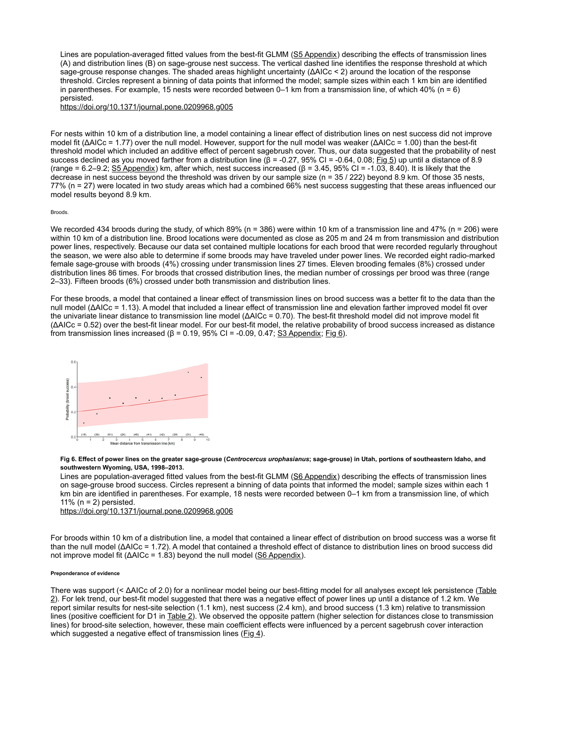Lines are population-averaged fitted values from the best-fit GLMM ([S5 Appendix\)](#page-12-5) describing the effects of transmission lines (A) and distribution lines (B) on sage-grouse nest success. The vertical dashed line identifies the response threshold at which sage-grouse response changes. The shaded areas highlight uncertainty (ΔAICc < 2) around the location of the response threshold. Circles represent a binning of data points that informed the model; sample sizes within each 1 km bin are identified in parentheses. For example, 15 nests were recorded between 0–1 km from a transmission line, of which 40% ( $n = 6$ ) persisted.

<https://doi.org/10.1371/journal.pone.0209968.g005>

For nests within 10 km of a distribution line, a model containing a linear effect of distribution lines on nest success did not improve model fit (ΔAICc = 1.77) over the null model. However, support for the null model was weaker (ΔAICc = 1.00) than the best-fit threshold model which included an additive effect of percent sagebrush cover. Thus, our data suggested that the probability of nest success declined as you moved farther from a distribution line (β = -0.27, 95% CI = -0.64, 0.08; [Fig 5](#page-8-0)) up until a distance of 8.9 (range = 6.2–9.2; [S5 Appendix\)](#page-12-5) km, after which, nest success increased ( $\beta$  = 3.45, 95% CI = -1.03, 8.40). It is likely that the decrease in nest success beyond the threshold was driven by our sample size (n = 35 / 222) beyond 8.9 km. Of those 35 nests, 77% (n = 27) were located in two study areas which had a combined 66% nest success suggesting that these areas influenced our model results beyond 8.9 km.

#### Broods.

We recorded 434 broods during the study, of which 89% (n = 386) were within 10 km of a transmission line and 47% (n = 206) were within 10 km of a distribution line. Brood locations were documented as close as 205 m and 24 m from transmission and distribution power lines, respectively. Because our data set contained multiple locations for each brood that were recorded regularly throughout the season, we were also able to determine if some broods may have traveled under power lines. We recorded eight radio-marked female sage-grouse with broods (4%) crossing under transmission lines 27 times. Eleven brooding females (8%) crossed under distribution lines 86 times. For broods that crossed distribution lines, the median number of crossings per brood was three (range 2–33). Fifteen broods (6%) crossed under both transmission and distribution lines.

For these broods, a model that contained a linear effect of transmission lines on brood success was a better fit to the data than the null model (ΔAICc = 1.13). A model that included a linear effect of transmission line and elevation farther improved model fit over the univariate linear distance to transmission line model (ΔAICc = 0.70). The best-fit threshold model did not improve model fit (ΔAICc = 0.52) over the best-fit linear model. For our best-fit model, the relative probability of brood success increased as distance from transmission lines increased ( $\beta$  = 0.19, 95% CI = -0.09, 0.47; [S3 Appendix;](#page-12-3) [Fig 6\)](#page-9-0).

<span id="page-9-0"></span>

#### **Fig 6. Effect of power lines on the greater sage-grouse (***Centrocercus urophasianus***; sage-grouse) in Utah, portions of southeastern Idaho, and southwestern Wyoming, USA, 1998–2013.**

Lines are population-averaged fitted values from the best-fit GLMM ([S6 Appendix\)](#page-12-6) describing the effects of transmission lines on sage-grouse brood success. Circles represent a binning of data points that informed the model; sample sizes within each 1 km bin are identified in parentheses. For example, 18 nests were recorded between 0–1 km from a transmission line, of which 11% ( $n = 2$ ) persisted.

<https://doi.org/10.1371/journal.pone.0209968.g006>

For broods within 10 km of a distribution line, a model that contained a linear effect of distribution on brood success was a worse fit than the null model (ΔAICc = 1.72). A model that contained a threshold effect of distance to distribution lines on brood success did not improve model fit (ΔAICc = 1.83) beyond the null model ([S6 Appendix](#page-12-6)).

#### **Preponderance of evidence**

<span id="page-9-1"></span>[There was support \(< ΔAICc of 2.0\) for a nonlinear model being our best-fitting model for all analyses except lek persistence \(Table](#page-9-1) 2). For lek trend, our best-fit model suggested that there was a negative effect of power lines up until a distance of 1.2 km. We report similar results for nest-site selection (1.1 km), nest success (2.4 km), and brood success (1.3 km) relative to transmission lines (positive coefficient for D1 in [Table 2](#page-9-1)). We observed the opposite pattern (higher selection for distances close to transmission lines) for brood-site selection, however, these main coefficient effects were influenced by a percent sagebrush cover interaction which suggested a negative effect of transmission lines  $(Eig_4)$ .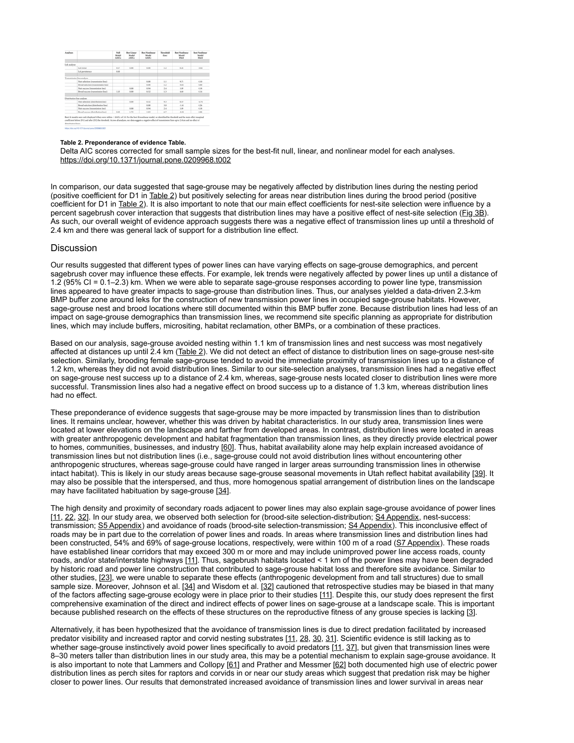| Andron       |                                        | Nell<br>Model<br><b>AAIG</b> | <b>Bed Linear</b><br>Model<br>AMG | <b>Boot Non-Region</b><br>Model<br><b>AMIG</b> | Thomboks<br>Gas) | <b>Bed Nonlinear</b><br>Model<br>Diet I | <b>Bed Needlesser</b><br>Model<br>Dist2 |
|--------------|----------------------------------------|------------------------------|-----------------------------------|------------------------------------------------|------------------|-----------------------------------------|-----------------------------------------|
|              |                                        |                              |                                   |                                                |                  |                                         |                                         |
| Lek analyses |                                        |                              |                                   |                                                |                  |                                         |                                         |
|              | Lektrond                               | 6.47                         | 0.88                              | 6.00                                           | 12               | 0.26                                    | 4.83                                    |
|              | Lek persistence                        | 0.00                         |                                   |                                                |                  |                                         |                                         |
|              | Transmission line analyses             |                              |                                   |                                                |                  |                                         |                                         |
|              | Nest selection (transmission line)     |                              |                                   | 0.00                                           | 1.1              | 9.73                                    | 0.10                                    |
|              | Broad selection Imanumission line)     |                              |                                   | 6.00                                           | 1.2              | 441                                     | 0.86                                    |
|              | Next excorse iteamentosion line)       |                              | 0.00                              | 6.94                                           | 2.4              | 1.09                                    | 0.18                                    |
|              | Resoul associate Departmentation Royal | 1.63                         | 0.00                              | 6.13                                           | 13               | 6.60                                    | 0.14                                    |
|              | Distribution line analyses             |                              |                                   |                                                |                  |                                         |                                         |
|              | New selection (distribution line)      |                              | 0.06                              | 6.53                                           | 85               | 0.19                                    | $-6.74$                                 |
|              | Repeal selection (distribution line)   |                              |                                   | 0.00                                           | 3.0              | $-1.403$                                | 0.36                                    |
|              | New success frequentiation line?       |                              | 0.06                              | 6.94                                           | 2.4              | 1.09                                    | 0.18                                    |
|              | Broad success (distribution line)      | 6.00                         | 1.72                              | 1.83                                           | 6.7              | 0.38                                    | 0.88.                                   |

#### **Table 2. Preponderance of evidence Table.**

Delta AIC scores corrected for small sample sizes for the best-fit null, linear, and nonlinear model for each analyses. <https://doi.org/10.1371/journal.pone.0209968.t002>

In comparison, our data suggested that sage-grouse may be negatively affected by distribution lines during the nesting period (positive coefficient for D1 in [Table 2](#page-9-1)) but positively selecting for areas near distribution lines during the brood period (positive coefficient for D1 in [Table 2](#page-9-1)). It is also important to note that our main effect coefficients for nest-site selection were influence by a percent sagebrush cover interaction that suggests that distribution lines may have a positive effect of nest-site selection ([Fig 3B\)](#page-7-0). As such, our overall weight of evidence approach suggests there was a negative effect of transmission lines up until a threshold of 2.4 km and there was general lack of support for a distribution line effect.

## **Discussion**

Our results suggested that different types of power lines can have varying effects on sage-grouse demographics, and percent sagebrush cover may influence these effects. For example, lek trends were negatively affected by power lines up until a distance of 1.2 (95% CI = 0.1–2.3) km. When we were able to separate sage-grouse responses according to power line type, transmission lines appeared to have greater impacts to sage-grouse than distribution lines. Thus, our analyses yielded a data-driven 2.3-km BMP buffer zone around leks for the construction of new transmission power lines in occupied sage-grouse habitats. However, sage-grouse nest and brood locations where still documented within this BMP buffer zone. Because distribution lines had less of an impact on sage-grouse demographics than transmission lines, we recommend site specific planning as appropriate for distribution lines, which may include buffers, micrositing, habitat reclamation, other BMPs, or a combination of these practices.

Based on our analysis, sage-grouse avoided nesting within 1.1 km of transmission lines and nest success was most negatively affected at distances up until 2.4 km [\(Table 2\)](#page-9-1). We did not detect an effect of distance to distribution lines on sage-grouse nest-site selection. Similarly, brooding female sage-grouse tended to avoid the immediate proximity of transmission lines up to a distance of 1.2 km, whereas they did not avoid distribution lines. Similar to our site-selection analyses, transmission lines had a negative effect on sage-grouse nest success up to a distance of 2.4 km, whereas, sage-grouse nests located closer to distribution lines were more successful. Transmission lines also had a negative effect on brood success up to a distance of 1.3 km, whereas distribution lines had no effect.

These preponderance of evidence suggests that sage-grouse may be more impacted by transmission lines than to distribution lines. It remains unclear, however, whether this was driven by habitat characteristics. In our study area, transmission lines were located at lower elevations on the landscape and farther from developed areas. In contrast, distribution lines were located in areas with greater anthropogenic development and habitat fragmentation than transmission lines, as they directly provide electrical power to homes, communities, businesses, and industry [\[60](#page-15-21)]. Thus, habitat availability alone may help explain increased avoidance of transmission lines but not distribution lines (i.e., sage-grouse could not avoid distribution lines without encountering other anthropogenic structures, whereas sage-grouse could have ranged in larger areas surrounding transmission lines in otherwise intact habitat). This is likely in our study areas because sage-grouse seasonal movements in Utah reflect habitat availability [[39](#page-15-0)]. It may also be possible that the interspersed, and thus, more homogenous spatial arrangement of distribution lines on the landscape may have facilitated habituation by sage-grouse [[34](#page-14-12)].

The high density and proximity of secondary roads adjacent to power lines may also explain sage-grouse avoidance of power lines [\[11,](#page-13-9) [22,](#page-14-1) [32](#page-14-10)]. In our study area, we observed both selection for (brood-site selection-distribution; [S4 Appendix](#page-12-4), nest-success: transmission; [S5 Appendix](#page-12-5)) and avoidance of roads (brood-site selection-transmission; [S4 Appendix\)](#page-12-4). This inconclusive effect of roads may be in part due to the correlation of power lines and roads. In areas where transmission lines and distribution lines had been constructed, 54% and 69% of sage-grouse locations, respectively, were within 100 m of a road ([S7 Appendix\)](#page-12-7). These roads have established linear corridors that may exceed 300 m or more and may include unimproved power line access roads, county roads, and/or state/interstate highways [[11](#page-13-9)]. Thus, sagebrush habitats located < 1 km of the power lines may have been degraded by historic road and power line construction that contributed to sage-grouse habitat loss and therefore site avoidance. Similar to other studies, [[23](#page-14-2)], we were unable to separate these effects (anthropogenic development from and tall structures) due to small sample size. Moreover, Johnson et al. [\[34\]](#page-14-12) and Wisdom et al. [[32](#page-14-10)] cautioned that retrospective studies may be biased in that many of the factors affecting sage-grouse ecology were in place prior to their studies [[11\]](#page-13-9). Despite this, our study does represent the first comprehensive examination of the direct and indirect effects of power lines on sage-grouse at a landscape scale. This is important because published research on the effects of these structures on the reproductive fitness of any grouse species is lacking [\[3\]](#page-13-1).

Alternatively, it has been hypothesized that the avoidance of transmission lines is due to direct predation facilitated by increased predator visibility and increased raptor and corvid nesting substrates [[11](#page-13-9), [28](#page-14-7), [30,](#page-14-8) [31](#page-14-9)]. Scientific evidence is still lacking as to whether sage-grouse instinctively avoid power lines specifically to avoid predators [\[11,](#page-13-9) [37\]](#page-14-16), but given that transmission lines were 8–30 meters taller than distribution lines in our study area, this may be a potential mechanism to explain sage-grouse avoidance. It is also important to note that Lammers and Collopy [\[61\]](#page-16-0) and Prather and Messmer [[62\]](#page-16-1) both documented high use of electric power distribution lines as perch sites for raptors and corvids in or near our study areas which suggest that predation risk may be higher closer to power lines. Our results that demonstrated increased avoidance of transmission lines and lower survival in areas near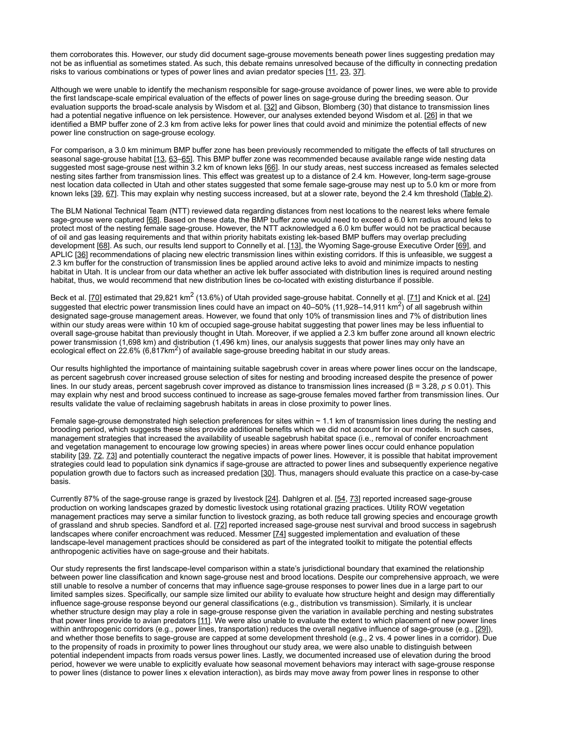them corroborates this. However, our study did document sage-grouse movements beneath power lines suggesting predation may not be as influential as sometimes stated. As such, this debate remains unresolved because of the difficulty in connecting predation risks to various combinations or types of power lines and avian predator species [[11](#page-13-9), [23](#page-14-2), [37\]](#page-14-16).

Although we were unable to identify the mechanism responsible for sage-grouse avoidance of power lines, we were able to provide the first landscape-scale empirical evaluation of the effects of power lines on sage-grouse during the breeding season. Our evaluation supports the broad-scale analysis by Wisdom et al. [[32](#page-14-10)] and Gibson, Blomberg (30) that distance to transmission lines had a potential negative influence on lek persistence. However, our analyses extended beyond Wisdom et al. [\[26](#page-14-5)] in that we identified a BMP buffer zone of 2.3 km from active leks for power lines that could avoid and minimize the potential effects of new power line construction on sage-grouse ecology.

For comparison, a 3.0 km minimum BMP buffer zone has been previously recommended to mitigate the effects of tall structures on seasonal sage-grouse habitat [[13,](#page-13-11) [63](#page-16-2)–[65](#page-16-3)]. This BMP buffer zone was recommended because available range wide nesting data suggested most sage-grouse nest within 3.2 km of known leks [[66](#page-16-4)]. In our study areas, nest success increased as females selected nesting sites farther from transmission lines. This effect was greatest up to a distance of 2.4 km. However, long-term sage-grouse nest location data collected in Utah and other states suggested that some female sage-grouse may nest up to 5.0 km or more from known leks [\[39,](#page-15-0) [67](#page-16-5)]. This may explain why nesting success increased, but at a slower rate, beyond the 2.4 km threshold [\(Table 2\)](#page-9-1).

The BLM National Technical Team (NTT) reviewed data regarding distances from nest locations to the nearest leks where female sage-grouse were captured [[68\]](#page-16-6). Based on these data, the BMP buffer zone would need to exceed a 6.0 km radius around leks to protect most of the nesting female sage-grouse. However, the NTT acknowledged a 6.0 km buffer would not be practical because of oil and gas leasing requirements and that within priority habitats existing lek-based BMP buffers may overlap precluding development [[68\]](#page-16-6). As such, our results lend support to Connelly et al. [[13\]](#page-13-11), the Wyoming Sage-grouse Executive Order [[69](#page-16-7)], and APLIC [\[36\]](#page-14-14) recommendations of placing new electric transmission lines within existing corridors. If this is unfeasible, we suggest a 2.3 km buffer for the construction of transmission lines be applied around active leks to avoid and minimize impacts to nesting habitat in Utah. It is unclear from our data whether an active lek buffer associated with distribution lines is required around nesting habitat, thus, we would recommend that new distribution lines be co-located with existing disturbance if possible.

Beck et al. [[70](#page-16-8)] estimated that 29,821 km<sup>2</sup> (13.6%) of Utah provided sage-grouse habitat. Connelly et al. [[71](#page-16-9)] and Knick et al. [[24](#page-14-3)] suggested that electric power transmission lines could have an impact on 40–50% (11,928–14,911 km<sup>2</sup>) of all sagebrush within designated sage-grouse management areas. However, we found that only 10% of transmission lines and 7% of distribution lines within our study areas were within 10 km of occupied sage-grouse habitat suggesting that power lines may be less influential to overall sage-grouse habitat than previously thought in Utah. Moreover, if we applied a 2.3 km buffer zone around all known electric power transmission (1,698 km) and distribution (1,496 km) lines, our analysis suggests that power lines may only have an ecological effect on 22.6% (6,817km<sup>2</sup>) of available sage-grouse breeding habitat in our study areas.

Our results highlighted the importance of maintaining suitable sagebrush cover in areas where power lines occur on the landscape, as percent sagebrush cover increased grouse selection of sites for nesting and brooding increased despite the presence of power lines. In our study areas, percent sagebrush cover improved as distance to transmission lines increased (β = 3.28, *p* ≤ 0.01). This may explain why nest and brood success continued to increase as sage-grouse females moved farther from transmission lines. Our results validate the value of reclaiming sagebrush habitats in areas in close proximity to power lines.

Female sage-grouse demonstrated high selection preferences for sites within  $\sim 1.1$  km of transmission lines during the nesting and brooding period, which suggests these sites provide additional benefits which we did not account for in our models. In such cases, management strategies that increased the availability of useable sagebrush habitat space (i.e., removal of conifer encroachment and vegetation management to encourage low growing species) in areas where power lines occur could enhance population stability [[39](#page-15-0), [72,](#page-16-10) [73](#page-16-11)] and potentially counteract the negative impacts of power lines. However, it is possible that habitat improvement strategies could lead to population sink dynamics if sage-grouse are attracted to power lines and subsequently experience negative population growth due to factors such as increased predation [[30](#page-14-8)]. Thus, managers should evaluate this practice on a case-by-case basis.

Currently 87% of the sage-grouse range is grazed by livestock [\[24\]](#page-14-3). Dahlgren et al. [\[54,](#page-15-15) [73\]](#page-16-11) reported increased sage-grouse production on working landscapes grazed by domestic livestock using rotational grazing practices. Utility ROW vegetation management practices may serve a similar function to livestock grazing, as both reduce tall growing species and encourage growth of grassland and shrub species. Sandford et al. [\[72\]](#page-16-10) reported increased sage-grouse nest survival and brood success in sagebrush landscapes where conifer encroachment was reduced. Messmer [[74\]](#page-16-12) suggested implementation and evaluation of these landscape-level management practices should be considered as part of the integrated toolkit to mitigate the potential effects anthropogenic activities have on sage-grouse and their habitats.

Our study represents the first landscape-level comparison within a state's jurisdictional boundary that examined the relationship between power line classification and known sage-grouse nest and brood locations. Despite our comprehensive approach, we were still unable to resolve a number of concerns that may influence sage-grouse responses to power lines due in a large part to our limited samples sizes. Specifically, our sample size limited our ability to evaluate how structure height and design may differentially influence sage-grouse response beyond our general classifications (e.g., distribution vs transmission). Similarly, it is unclear whether structure design may play a role in sage-grouse response given the variation in available perching and nesting substrates that power lines provide to avian predators [\[11](#page-13-9)]. We were also unable to evaluate the extent to which placement of new power lines within anthropogenic corridors (e.g., power lines, transportation) reduces the overall negative influence of sage-grouse (e.g., [[29\]](#page-14-18)), and whether those benefits to sage-grouse are capped at some development threshold (e.g., 2 vs. 4 power lines in a corridor). Due to the propensity of roads in proximity to power lines throughout our study area, we were also unable to distinguish between potential independent impacts from roads versus power lines. Lastly, we documented increased use of elevation during the brood period, however we were unable to explicitly evaluate how seasonal movement behaviors may interact with sage-grouse response to power lines (distance to power lines x elevation interaction), as birds may move away from power lines in response to other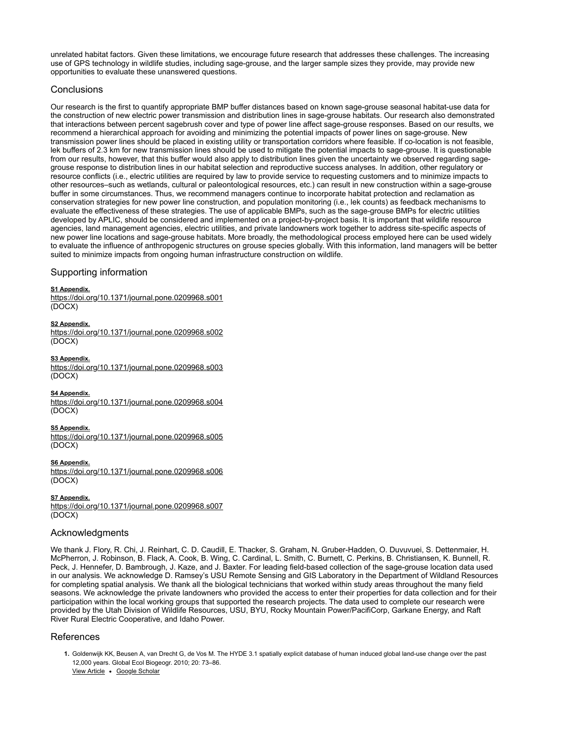unrelated habitat factors. Given these limitations, we encourage future research that addresses these challenges. The increasing use of GPS technology in wildlife studies, including sage-grouse, and the larger sample sizes they provide, may provide new opportunities to evaluate these unanswered questions.

## **Conclusions**

Our research is the first to quantify appropriate BMP buffer distances based on known sage-grouse seasonal habitat-use data for the construction of new electric power transmission and distribution lines in sage-grouse habitats. Our research also demonstrated that interactions between percent sagebrush cover and type of power line affect sage-grouse responses. Based on our results, we recommend a hierarchical approach for avoiding and minimizing the potential impacts of power lines on sage-grouse. New transmission power lines should be placed in existing utility or transportation corridors where feasible. If co-location is not feasible, lek buffers of 2.3 km for new transmission lines should be used to mitigate the potential impacts to sage-grouse. It is questionable from our results, however, that this buffer would also apply to distribution lines given the uncertainty we observed regarding sagegrouse response to distribution lines in our habitat selection and reproductive success analyses. In addition, other regulatory or resource conflicts (i.e., electric utilities are required by law to provide service to requesting customers and to minimize impacts to other resources–such as wetlands, cultural or paleontological resources, etc.) can result in new construction within a sage-grouse buffer in some circumstances. Thus, we recommend managers continue to incorporate habitat protection and reclamation as conservation strategies for new power line construction, and population monitoring (i.e., lek counts) as feedback mechanisms to evaluate the effectiveness of these strategies. The use of applicable BMPs, such as the sage-grouse BMPs for electric utilities developed by APLIC, should be considered and implemented on a project-by-project basis. It is important that wildlife resource agencies, land management agencies, electric utilities, and private landowners work together to address site-specific aspects of new power line locations and sage-grouse habitats. More broadly, the methodological process employed here can be used widely to evaluate the influence of anthropogenic structures on grouse species globally. With this information, land managers will be better suited to minimize impacts from ongoing human infrastructure construction on wildlife.

## Supporting information

## <span id="page-12-1"></span>**[S1 Appendix.](https://journals.plos.org/plosone/article/file?type=supplementary&id=info:doi/10.1371/journal.pone.0209968.s001)**

<https://doi.org/10.1371/journal.pone.0209968.s001> (DOCX)

## <span id="page-12-2"></span>**[S2 Appendix.](https://journals.plos.org/plosone/article/file?type=supplementary&id=info:doi/10.1371/journal.pone.0209968.s002)**

<https://doi.org/10.1371/journal.pone.0209968.s002> (DOCX)

## <span id="page-12-3"></span>**[S3 Appendix.](https://journals.plos.org/plosone/article/file?type=supplementary&id=info:doi/10.1371/journal.pone.0209968.s003)**

<https://doi.org/10.1371/journal.pone.0209968.s003> (DOCX)

### <span id="page-12-4"></span>**[S4 Appendix.](https://journals.plos.org/plosone/article/file?type=supplementary&id=info:doi/10.1371/journal.pone.0209968.s004)**

<https://doi.org/10.1371/journal.pone.0209968.s004> (DOCX)

## <span id="page-12-5"></span>**[S5 Appendix.](https://journals.plos.org/plosone/article/file?type=supplementary&id=info:doi/10.1371/journal.pone.0209968.s005)**

<https://doi.org/10.1371/journal.pone.0209968.s005> (DOCX)

## <span id="page-12-6"></span>**[S6 Appendix.](https://journals.plos.org/plosone/article/file?type=supplementary&id=info:doi/10.1371/journal.pone.0209968.s006)**

<https://doi.org/10.1371/journal.pone.0209968.s006> (DOCX)

<span id="page-12-7"></span>**[S7 Appendix.](https://journals.plos.org/plosone/article/file?type=supplementary&id=info:doi/10.1371/journal.pone.0209968.s007)**

<https://doi.org/10.1371/journal.pone.0209968.s007> (DOCX)

## Acknowledgments

We thank J. Flory, R. Chi, J. Reinhart, C. D. Caudill, E. Thacker, S. Graham, N. Gruber-Hadden, O. Duvuvuei, S. Dettenmaier, H. McPherron, J. Robinson, B. Flack, A. Cook, B. Wing, C. Cardinal, L. Smith, C. Burnett, C. Perkins, B. Christiansen, K. Bunnell, R. Peck, J. Hennefer, D. Bambrough, J. Kaze, and J. Baxter. For leading field-based collection of the sage-grouse location data used in our analysis. We acknowledge D. Ramsey's USU Remote Sensing and GIS Laboratory in the Department of Wildland Resources for completing spatial analysis. We thank all the biological technicians that worked within study areas throughout the many field seasons. We acknowledge the private landowners who provided the access to enter their properties for data collection and for their participation within the local working groups that supported the research projects. The data used to complete our research were provided by the Utah Division of Wildlife Resources, USU, BYU, Rocky Mountain Power/PacifiCorp, Garkane Energy, and Raft River Rural Electric Cooperative, and Idaho Power.

## References

<span id="page-12-0"></span>**1.** Goldenwijk KK, Beusen A, van Drecht G, de Vos M. The HYDE 3.1 spatially explicit database of human induced global land-use change over the past View Article . [Google Scholar](http://scholar.google.com/scholar?q=The+HYDE+3.1+spatially+explicit+database+of+human+induced+global+land-use+change+over+the+past+12%2C000+years+Goldenwijk+2010) 12,000 years. Global Ecol Biogeogr. 2010; 20: 73–86.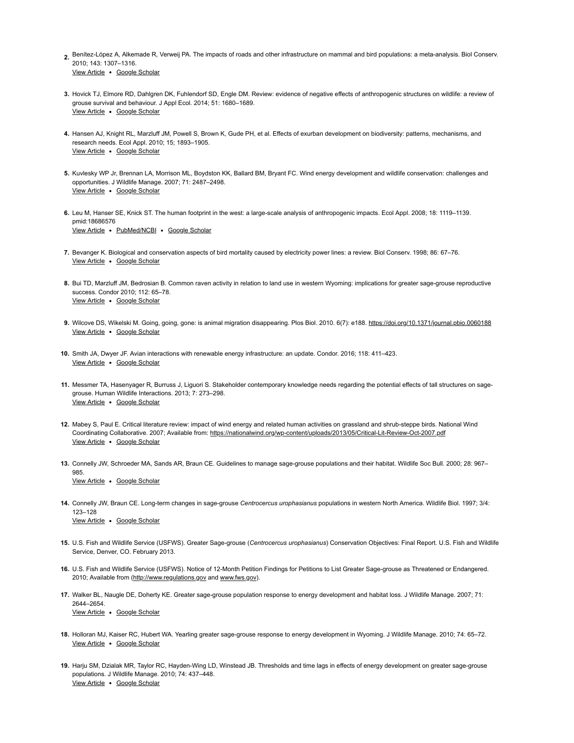- <span id="page-13-0"></span>**2.** Benítez-López A, Alkemade R, Verweij PA. The impacts of roads and other infrastructure on mammal and bird populations: a meta-analysis. Biol Conserv. View Article . [Google Scholar](http://scholar.google.com/scholar?q=The+impacts+of+roads+and+other+infrastructure+on+mammal+and+bird+populations%3A+a+meta-analysis+Ben%C3%ADtez-L%C3%B3pez+2010) 2010; 143: 1307–1316.
- <span id="page-13-1"></span>**3.** Hovick TJ, Elmore RD, Dahlgren DK, Fuhlendorf SD, Engle DM. Review: evidence of negative effects of anthropogenic structures on wildlife: a review of View Article . [Google Scholar](http://scholar.google.com/scholar?q=Review%3A+evidence+of+negative+effects+of+anthropogenic+structures+on+wildlife%3A+a+review+of+grouse+survival+and+behaviour+Hovick+2014) grouse survival and behaviour. J Appl Ecol. 2014; 51: 1680–1689.
- <span id="page-13-2"></span>**4.** Hansen AJ, Knight RL, Marzluff JM, Powell S, Brown K, Gude PH, et al. Effects of exurban development on biodiversity: patterns, mechanisms, and View Article . [Google Scholar](http://scholar.google.com/scholar?q=Effects+of+exurban+development+on+biodiversity%3A+patterns%2C+mechanisms%2C+and+research+needs+Hansen+2010) research needs. Ecol Appl. 2010; 15; 1893–1905.
- <span id="page-13-4"></span>**5.** Kuvlesky WP Jr, Brennan LA, Morrison ML, Boydston KK, Ballard BM, Bryant FC. Wind energy development and wildlife conservation: challenges and View Article . [Google Scholar](http://scholar.google.com/scholar?q=Wind+energy+development+and+wildlife+conservation%3A+challenges+and+opportunities+Kuvlesky+2007) opportunities. J Wildlife Manage. 2007; 71: 2487–2498.
- <span id="page-13-3"></span>**6.** Leu M, Hanser SE, Knick ST. The human footprint in the west: a large-scale analysis of anthropogenic impacts. Ecol Appl. 2008; 18: 1119–1139. View Article · [PubMed/NCBI](http://www.ncbi.nlm.nih.gov/pubmed/18686576) · [Google Scholar](http://scholar.google.com/scholar?q=The+human+footprint+in+the+west%3A+a+large-scale+analysis+of+anthropogenic+impacts+Leu+2008) pmid:18686576
- <span id="page-13-5"></span>**7.** Bevanger K. Biological and conservation aspects of bird mortality caused by electricity power lines: a review. Biol Conserv. 1998; 86: 67–76. View Article . [Google Scholar](http://scholar.google.com/scholar?q=Biological+and+conservation+aspects+of+bird+mortality+caused+by+electricity+power+lines%3A+a+review+Bevanger+1998)
- <span id="page-13-6"></span>**8.** Bui TD, Marzluff JM, Bedrosian B. Common raven activity in relation to land use in western Wyoming: implications for greater sage-grouse reproductive View Article . [Google Scholar](http://scholar.google.com/scholar?q=Common+raven+activity+in+relation+to+land+use+in+western+Wyoming%3A+implications+for+greater+sage-grouse+reproductive+success+Bui+2010) success. Condor 2010; 112: 65–78.
- <span id="page-13-7"></span>**9.** Wilcove DS, Wikelski M. Going, going, gone: is animal migration disappearing. Plos Biol. 2010. 6(7): e188.<https://doi.org/10.1371/journal.pbio.0060188> View Article . [Google Scholar](http://scholar.google.com/scholar?q=Going%2C+going%2C+gone%3A+is+animal+migration+disappearing+Wilcove+2010)
- <span id="page-13-8"></span>**10.** Smith JA, Dwyer JF. Avian interactions with renewable energy infrastructure: an update. Condor. 2016; 118: 411–423. View Article . [Google Scholar](http://scholar.google.com/scholar?q=Avian+interactions+with+renewable+energy+infrastructure%3A+an+update+Smith+2016)
- <span id="page-13-9"></span>**11.** Messmer TA, Hasenyager R, Burruss J, Liguori S. Stakeholder contemporary knowledge needs regarding the potential effects of tall structures on sage-View Article . [Google Scholar](http://scholar.google.com/scholar?q=Stakeholder+contemporary+knowledge+needs+regarding+the+potential+effects+of+tall+structures+on+sage-grouse+Messmer+2013) grouse. Human Wildlife Interactions. 2013; 7: 273–298.
- <span id="page-13-10"></span>**12.** Mabey S, Paul E. Critical literature review: impact of wind energy and related human activities on grassland and shrub-steppe birds. National Wind View Article . [Google Scholar](http://scholar.google.com/scholar?q=Critical+literature+review%3A+impact+of+wind+energy+and+related+human+activities+on+grassland+and+shrub-steppe+birds+Mabey+2007) Coordinating Collaborative. 2007; Available from:<https://nationalwind.org/wp-content/uploads/2013/05/Critical-Lit-Review-Oct-2007.pdf>
- <span id="page-13-11"></span>**13.** Connelly JW, Schroeder MA, Sands AR, Braun CE. Guidelines to manage sage-grouse populations and their habitat. Wildlife Soc Bull. 2000; 28: 967– View Article . [Google Scholar](http://scholar.google.com/scholar?q=Guidelines+to+manage+sage-grouse+populations+and+their+habitat+Connelly+2000) 985.
- <span id="page-13-12"></span>**14.** Connelly JW, Braun CE. Long-term changes in sage-grouse *Centrocercus urophasianus* populations in western North America. Wildlife Biol. 1997; 3/4: View Article . [Google Scholar](http://scholar.google.com/scholar?q=Long-term+changes+in+sage-grouse+Centrocercus+urophasianus+populations+in+western+North+America+Connelly+1997) 123–128
- <span id="page-13-13"></span>**15.** U.S. Fish and Wildlife Service (USFWS). Greater Sage-grouse (*Centrocercus urophasianus*) Conservation Objectives: Final Report. U.S. Fish and Wildlife Service, Denver, CO. February 2013.
- <span id="page-13-14"></span>**16.** U.S. Fish and Wildlife Service (USFWS). Notice of 12-Month Petition Findings for Petitions to List Greater Sage-grouse as Threatened or Endangered. 2010; Available from [\(http://www.regulations.gov](http://www.regulations.gov/) and [www.fws.gov\)](http://www.fws.gov/).
- <span id="page-13-15"></span>**17.** Walker BL, Naugle DE, Doherty KE. Greater sage-grouse population response to energy development and habitat loss. J Wildlife Manage. 2007; 71: View Article . [Google Scholar](http://scholar.google.com/scholar?q=Greater+sage-grouse+population+response+to+energy+development+and+habitat+loss+Walker+2007) 2644–2654.
- **18.** Holloran MJ, Kaiser RC, Hubert WA. Yearling greater sage-grouse response to energy development in Wyoming. J Wildlife Manage. 2010; 74: 65–72. View Article . [Google Scholar](http://scholar.google.com/scholar?q=Yearling+greater+sage-grouse+response+to+energy+development+in+Wyoming+Holloran+2010)
- **19.** Harju SM, Dzialak MR, Taylor RC, Hayden-Wing LD, Winstead JB. Thresholds and time lags in effects of energy development on greater sage-grouse View Article . [Google Scholar](http://scholar.google.com/scholar?q=Thresholds+and+time+lags+in+effects+of+energy+development+on+greater+sage-grouse+populations+Harju+2010) populations. J Wildlife Manage. 2010; 74: 437–448.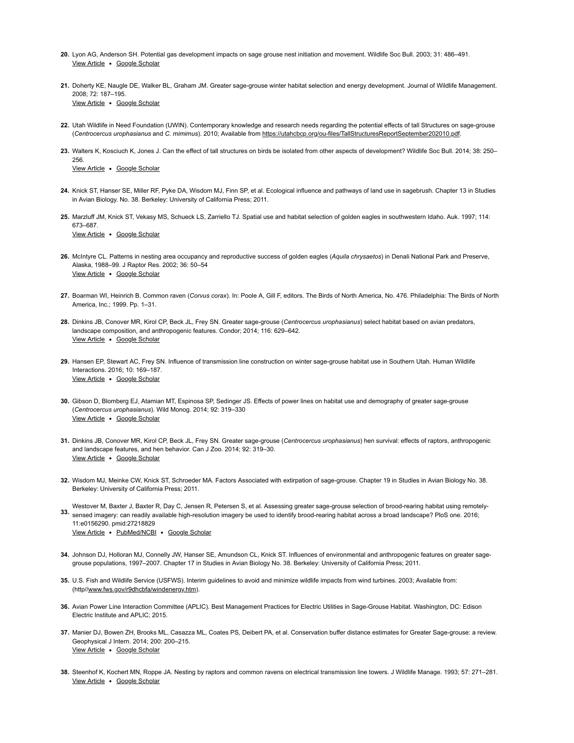- <span id="page-14-15"></span>**20.** Lyon AG, Anderson SH. Potential gas development impacts on sage grouse nest initiation and movement. Wildlife Soc Bull. 2003; 31: 486–491. View Article . [Google Scholar](http://scholar.google.com/scholar?q=Potential+gas+development+impacts+on+sage+grouse+nest+initiation+and+movement+Lyon+2003)
- <span id="page-14-0"></span>**21.** Doherty KE, Naugle DE, Walker BL, Graham JM. Greater sage-grouse winter habitat selection and energy development. Journal of Wildlife Management. View Article . [Google Scholar](http://scholar.google.com/scholar?q=Greater+sage-grouse+winter+habitat+selection+and+energy+development+Doherty+2008) 2008; 72: 187–195.
- <span id="page-14-1"></span>**22.** Utah Wildlife in Need Foundation (UWIN). Contemporary knowledge and research needs regarding the potential effects of tall Structures on sage-grouse (*Centrocercus urophasianus* and *C. mimimus*). 2010; Available from [https://utahcbcp.org/ou-files/TallStructuresReportSeptember202010.pdf.](https://utahcbcp.org/ou-files/TallStructuresReportSeptember202010.pdf)
- <span id="page-14-2"></span>**23.** Walters K, Kosciuch K, Jones J. Can the effect of tall structures on birds be isolated from other aspects of development? Wildlife Soc Bull. 2014; 38: 250– 256.

View Article . [Google Scholar](http://scholar.google.com/scholar?q=Can+the+effect+of+tall+structures+on+birds+be+isolated+from+other+aspects+of+development%3F+Walters+2014)

- <span id="page-14-3"></span>**24.** Knick ST, Hanser SE, Miller RF, Pyke DA, Wisdom MJ, Finn SP, et al. Ecological influence and pathways of land use in sagebrush. Chapter 13 in Studies in Avian Biology. No. 38. Berkeley: University of California Press; 2011.
- <span id="page-14-4"></span>**25.** Marzluff JM, Knick ST, Vekasy MS, Schueck LS, Zarriello TJ. Spatial use and habitat selection of golden eagles in southwestern Idaho. Auk. 1997; 114: View Article . [Google Scholar](http://scholar.google.com/scholar?q=Spatial+use+and+habitat+selection+of+golden+eagles+in+southwestern+Idaho+Marzluff+1997) 673–687.
- <span id="page-14-5"></span>**26.** McIntyre CL. Patterns in nesting area occupancy and reproductive success of golden eagles (*Aquila chrysaetos*) in Denali National Park and Preserve, View Article . [Google Scholar](http://scholar.google.com/scholar?q=Patterns+in+nesting+area+occupancy+and+reproductive+success+of+golden+eagles+%28Aquila+chrysaetos%29+in+Denali+National+Park+and+Preserve%2C+Alaska%2C+1988%E2%80%9399+McIntyre+2002) Alaska, 1988–99. J Raptor Res. 2002; 36: 50–54
- <span id="page-14-6"></span>**27.** Boarman WI, Heinrich B. Common raven (*Corvus corax*). In: Poole A, Gill F, editors. The Birds of North America, No. 476. Philadelphia: The Birds of North America, Inc.; 1999. Pp. 1–31.
- <span id="page-14-7"></span>**28.** Dinkins JB, Conover MR, Kirol CP, Beck JL, Frey SN. Greater sage-grouse (*Centrocercus urophasianus*) select habitat based on avian predators, View Article . [Google Scholar](http://scholar.google.com/scholar?q=Greater+sage-grouse+%28Centrocercus+urophasianus%29+select+habitat+based+on+avian+predators%2C+landscape+composition%2C+and+anthropogenic+features+Dinkins+2014) landscape composition, and anthropogenic features. Condor; 2014; 116: 629–642.
- <span id="page-14-18"></span>**29.** Hansen EP, Stewart AC, Frey SN. Influence of transmission line construction on winter sage-grouse habitat use in Southern Utah. Human Wildlife View Article . [Google Scholar](http://scholar.google.com/scholar?q=Influence+of+transmission+line+construction+on+winter+sage-grouse+habitat+use+in+Southern+Utah+Hansen+2016) Interactions. 2016; 10: 169–187.
- <span id="page-14-8"></span>**30.** Gibson D, Blomberg EJ, Atamian MT, Espinosa SP, Sedinger JS. Effects of power lines on habitat use and demography of greater sage-grouse View Article . [Google Scholar](http://scholar.google.com/scholar?q=Effects+of+power+lines+on+habitat+use+and+demography+of+greater+sage-grouse+%28Centrocercus+urophasianus%29+Gibson+2014) (*Centrocercus urophasianus*). Wild Monog. 2014; 92: 319–330
- <span id="page-14-9"></span>**31.** Dinkins JB, Conover MR, Kirol CP, Beck JL, Frey SN. Greater sage-grouse (*Centrocercus urophasianus*) hen survival: effects of raptors, anthropogenic View Article . [Google Scholar](http://scholar.google.com/scholar?q=Greater+sage-grouse+%28Centrocercus+urophasianus%29+hen+survival%3A+effects+of+raptors%2C+anthropogenic+and+landscape+features%2C+and+hen+behavior+Dinkins+2014) and landscape features, and hen behavior. Can J Zoo. 2014; 92: 319–30.
- <span id="page-14-10"></span>**32.** Wisdom MJ, Meinke CW, Knick ST, Schroeder MA. Factors Associated with extirpation of sage-grouse. Chapter 19 in Studies in Avian Biology No. 38. Berkeley: University of California Press; 2011.
- <span id="page-14-11"></span>**33.** sensed imagery: can readily available high-resolution imagery be used to identify brood-rearing habitat across a broad landscape? PloS one. 2016; [View Article](https://doi.org/10.1371/journal.pone.0156290) . [PubMed/NCBI](http://www.ncbi.nlm.nih.gov/pubmed/27218829) . [Google Scholar](http://scholar.google.com/scholar?q=Assessing+greater+sage-grouse+selection+of+brood-rearing+habitat+using+remotely-sensed+imagery%3A+can+readily+available+high-resolution+imagery+be+used+to+identify+brood-rearing+habitat+across+a+broad+landscape%3F+Westover+2016) Westover M, Baxter J, Baxter R, Day C, Jensen R, Petersen S, et al. Assessing greater sage-grouse selection of brood-rearing habitat using remotely-11:e0156290. pmid:27218829
- <span id="page-14-12"></span>**34.** Johnson DJ, Holloran MJ, Connelly JW, Hanser SE, Amundson CL, Knick ST. Influences of environmental and anthropogenic features on greater sagegrouse populations, 1997–2007. Chapter 17 in Studies in Avian Biology No. 38. Berkeley: University of California Press; 2011.
- <span id="page-14-13"></span>**35.** U.S. Fish and Wildlife Service (USFWS). Interim guidelines to avoid and minimize wildlife impacts from wind turbines. 2003; Available from: (http/[/www.fws.gov/r9dhcbfa/windenergy.htm](http://www.fws.gov/r9dhcbfa/windenergy.htm)).
- <span id="page-14-14"></span>**36.** Avian Power Line Interaction Committee (APLIC). Best Management Practices for Electric Utilities in Sage-Grouse Habitat. Washington, DC: Edison Electric Institute and APLIC; 2015.
- <span id="page-14-16"></span>**37.** Manier DJ, Bowen ZH, Brooks ML, Casazza ML, Coates PS, Deibert PA, et al. Conservation buffer distance estimates for Greater Sage-grouse: a review. View Article . [Google Scholar](http://scholar.google.com/scholar?q=Conservation+buffer+distance+estimates+for+Greater+Sage-grouse%3A+a+review+Manier+2014) Geophysical J Intern. 2014; 200: 200–215.
- <span id="page-14-17"></span>**38.** Steenhof K, Kochert MN, Roppe JA. Nesting by raptors and common ravens on electrical transmission line towers. J Wildlife Manage. 1993; 57: 271–281.View Article . [Google Scholar](http://scholar.google.com/scholar?q=Nesting+by+raptors+and+common+ravens+on+electrical+transmission+line+towers+Steenhof+1993)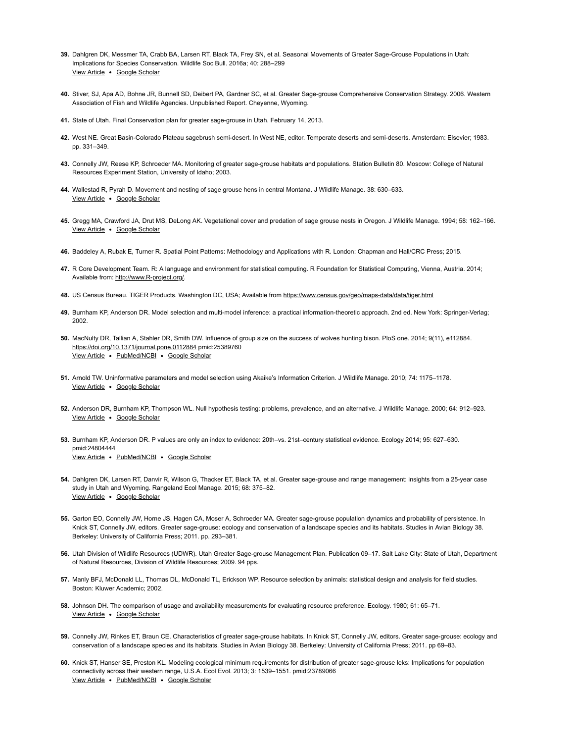- <span id="page-15-0"></span>**39.** Dahlgren DK, Messmer TA, Crabb BA, Larsen RT, Black TA, Frey SN, et al. Seasonal Movements of Greater Sage-Grouse Populations in Utah: View Article . [Google Scholar](http://scholar.google.com/scholar?q=Seasonal+Movements+of+Greater+Sage-Grouse+Populations+in+Utah%3A+Implications+for+Species+Conservation+Dahlgren+2016a) Implications for Species Conservation. Wildlife Soc Bull. 2016a; 40: 288–299
- <span id="page-15-1"></span>**40.** Stiver, SJ, Apa AD, Bohne JR, Bunnell SD, Deibert PA, Gardner SC, et al. Greater Sage-grouse Comprehensive Conservation Strategy. 2006. Western Association of Fish and Wildlife Agencies. Unpublished Report. Cheyenne, Wyoming.
- <span id="page-15-2"></span>**41.** State of Utah. Final Conservation plan for greater sage-grouse in Utah. February 14, 2013.
- <span id="page-15-3"></span>**42.** West NE. Great Basin-Colorado Plateau sagebrush semi-desert. In West NE, editor. Temperate deserts and semi-deserts. Amsterdam: Elsevier; 1983. pp. 331–349.
- <span id="page-15-4"></span>**43.** Connelly JW, Reese KP, Schroeder MA. Monitoring of greater sage-grouse habitats and populations. Station Bulletin 80. Moscow: College of Natural Resources Experiment Station, University of Idaho; 2003.
- <span id="page-15-5"></span>**44.** Wallestad R, Pyrah D. Movement and nesting of sage grouse hens in central Montana. J Wildlife Manage. 38: 630–633. View Article . [Google Scholar](http://scholar.google.com/scholar?q=Movement+and+nesting+of+sage+grouse+hens+in+central+Montana+Wallestad+)
- <span id="page-15-6"></span>**45.** Gregg MA, Crawford JA, Drut MS, DeLong AK. Vegetational cover and predation of sage grouse nests in Oregon. J Wildlife Manage. 1994; 58: 162–166. View Article . [Google Scholar](http://scholar.google.com/scholar?q=Vegetational+cover+and+predation+of+sage+grouse+nests+in+Oregon+Gregg+1994)
- <span id="page-15-7"></span>**46.** Baddeley A, Rubak E, Turner R. Spatial Point Patterns: Methodology and Applications with R. London: Chapman and Hall/CRC Press; 2015.
- <span id="page-15-8"></span>**47.** R Core Development Team. R: A language and environment for statistical computing. R Foundation for Statistical Computing, Vienna, Austria. 2014; Available from: [http://www.R-project.org/](http://www.r-project.org/).
- <span id="page-15-9"></span>**48.** US Census Bureau. TIGER Products. Washington DC, USA; Available from<https://www.census.gov/geo/maps-data/data/tiger.html>
- <span id="page-15-10"></span>**49.** Burnham KP, Anderson DR. Model selection and multi-model inference: a practical information-theoretic approach. 2nd ed. New York: Springer-Verlag; 2002.
- <span id="page-15-11"></span>**50.** MacNulty DR, Tallian A, Stahler DR, Smith DW. Influence of group size on the success of wolves hunting bison. PloS one. 2014; 9(11), e112884. View Article · [PubMed/NCBI](http://www.ncbi.nlm.nih.gov/pubmed/25389760) · [Google Scholar](http://scholar.google.com/scholar?q=Influence+of+group+size+on+the+success+of+wolves+hunting+bison+MacNulty+2014) <https://doi.org/10.1371/journal.pone.0112884>pmid:25389760
- <span id="page-15-12"></span>**51.** Arnold TW. Uninformative parameters and model selection using Akaike's Information Criterion. J Wildlife Manage. 2010; 74: 1175–1178. View Article . [Google Scholar](http://scholar.google.com/scholar?q=Uninformative+parameters+and+model+selection+using+Akaike%E2%80%99s+Information+Criterion+Arnold+2010)
- <span id="page-15-13"></span>**52.** Anderson DR, Burnham KP, Thompson WL. Null hypothesis testing: problems, prevalence, and an alternative. J Wildlife Manage. 2000; 64: 912–923. View Article . [Google Scholar](http://scholar.google.com/scholar?q=Null+hypothesis+testing%3A+problems%2C+prevalence%2C+and+an+alternative+Anderson+2000)

<span id="page-15-14"></span>**53.** Burnham KP, Anderson DR. P values are only an index to evidence: 20th–vs. 21st–century statistical evidence. Ecology 2014; 95: 627–630. View Article · [PubMed/NCBI](http://www.ncbi.nlm.nih.gov/pubmed/24804444) · [Google Scholar](http://scholar.google.com/scholar?q=P+values+are+only+an+index+to+evidence%3A+20th%E2%80%93vs.+21st%E2%80%93century+statistical+evidence+Burnham+2014) pmid:24804444

- <span id="page-15-15"></span>**54.** Dahlgren DK, Larsen RT, Danvir R, Wilson G, Thacker ET, Black TA, et al. Greater sage-grouse and range management: insights from a 25-year case View Article . [Google Scholar](http://scholar.google.com/scholar?q=Greater+sage-grouse+and+range+management%3A+insights+from+a+25-year+case+study+in+Utah+and+Wyoming+Dahlgren+2015) study in Utah and Wyoming. Rangeland Ecol Manage. 2015; 68: 375–82.
- <span id="page-15-16"></span>**55.** Garton EO, Connelly JW, Horne JS, Hagen CA, Moser A, Schroeder MA. Greater sage-grouse population dynamics and probability of persistence. In Knick ST, Connelly JW, editors. Greater sage-grouse: ecology and conservation of a landscape species and its habitats. Studies in Avian Biology 38. Berkeley: University of California Press; 2011. pp. 293–381.
- <span id="page-15-17"></span>**56.** Utah Division of Wildlife Resources (UDWR). Utah Greater Sage-grouse Management Plan. Publication 09–17. Salt Lake City: State of Utah, Department of Natural Resources, Division of Wildlife Resources; 2009. 94 pps.
- <span id="page-15-18"></span>**57.** Manly BFJ, McDonald LL, Thomas DL, McDonald TL, Erickson WP. Resource selection by animals: statistical design and analysis for field studies. Boston: Kluwer Academic; 2002.
- <span id="page-15-19"></span>**58.** Johnson DH. The comparison of usage and availability measurements for evaluating resource preference. Ecology. 1980; 61: 65–71. View Article . [Google Scholar](http://scholar.google.com/scholar?q=The+comparison+of+usage+and+availability+measurements+for+evaluating+resource+preference+Johnson+1980)
- <span id="page-15-20"></span>**59.** Connelly JW, Rinkes ET, Braun CE. Characteristics of greater sage-grouse habitats. In Knick ST, Connelly JW, editors. Greater sage-grouse: ecology and conservation of a landscape species and its habitats. Studies in Avian Biology 38. Berkeley: University of California Press; 2011. pp 69–83.
- <span id="page-15-21"></span>**60.** Knick ST, Hanser SE, Preston KL. Modeling ecological minimum requirements for distribution of greater sage-grouse leks: Implications for population [View Article](https://doi.org/10.1002/ece3.557) · [PubMed/NCBI](http://www.ncbi.nlm.nih.gov/pubmed/23789066) · [Google Scholar](http://scholar.google.com/scholar?q=Modeling+ecological+minimum+requirements+for+distribution+of+greater+sage-grouse+leks%3A+Implications+for+population+connectivity+across+their+western+range%2C+U.S.A+Knick+2013) connectivity across their western range, U.S.A. Ecol Evol. 2013; 3: 1539–1551. pmid:23789066